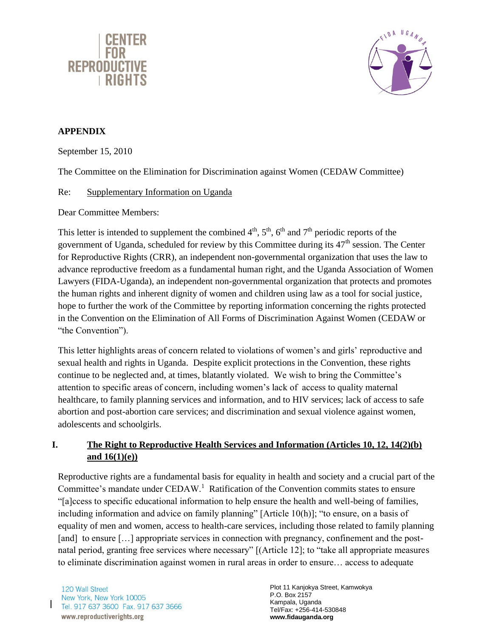



## **APPENDIX**

September 15, 2010

The Committee on the Elimination for Discrimination against Women (CEDAW Committee)

## Re: Supplementary Information on Uganda

Dear Committee Members:

This letter is intended to supplement the combined  $4<sup>th</sup>$ ,  $5<sup>th</sup>$ ,  $6<sup>th</sup>$  and  $7<sup>th</sup>$  periodic reports of the government of Uganda, scheduled for review by this Committee during its  $47<sup>th</sup>$  session. The Center for Reproductive Rights (CRR), an independent non-governmental organization that uses the law to advance reproductive freedom as a fundamental human right, and the Uganda Association of Women Lawyers (FIDA-Uganda), an independent non-governmental organization that protects and promotes the human rights and inherent dignity of women and children using law as a tool for social justice, hope to further the work of the Committee by reporting information concerning the rights protected in the Convention on the Elimination of All Forms of Discrimination Against Women (CEDAW or "the Convention").

This letter highlights areas of concern related to violations of women's and girls' reproductive and sexual health and rights in Uganda. Despite explicit protections in the Convention, these rights continue to be neglected and, at times, blatantly violated. We wish to bring the Committee's attention to specific areas of concern, including women's lack of access to quality maternal healthcare, to family planning services and information, and to HIV services; lack of access to safe abortion and post-abortion care services; and discrimination and sexual violence against women, adolescents and schoolgirls.

# **I. The Right to Reproductive Health Services and Information (Articles 10, 12, 14(2)(b) and 16(1)(e))**

Reproductive rights are a fundamental basis for equality in health and society and a crucial part of the Committee's mandate under  $\text{CEDAW}$ <sup>1</sup> Ratification of the Convention commits states to ensure ―[a]ccess to specific educational information to help ensure the health and well-being of families, including information and advice on family planning" [Article 10(h)]; "to ensure, on a basis of equality of men and women, access to health-care services, including those related to family planning [and] to ensure [...] appropriate services in connection with pregnancy, confinement and the postnatal period, granting free services where necessary" [(Article 12]; to "take all appropriate measures to eliminate discrimination against women in rural areas in order to ensure… access to adequate

120 Wall Street New York, New York 10005<br>Tel. 917 637 3600 Fax. 917 637 3666 www.reproductiverights.org

Plot 11 Kanjokya Street, Kamwokya P.O. Box 2157 Kampala, Uganda Tel/Fax: +256-414-530848 **www.fidauganda.org**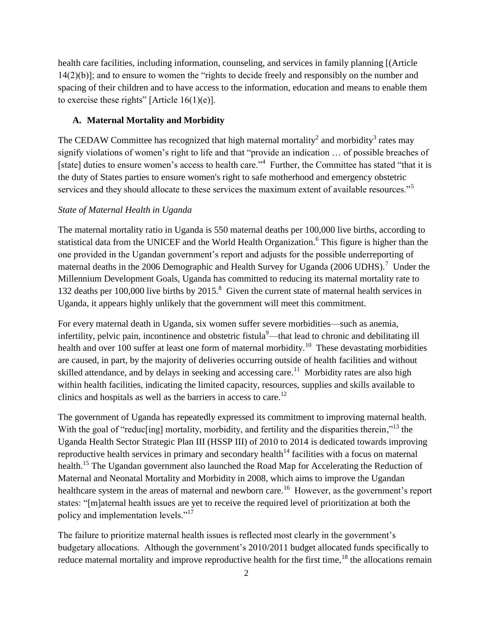health care facilities, including information, counseling, and services in family planning [(Article  $14(2)(b)$ ; and to ensure to women the "rights to decide freely and responsibly on the number and spacing of their children and to have access to the information, education and means to enable them to exercise these rights" [Article  $16(1)(e)$ ].

### **A. Maternal Mortality and Morbidity**

The CEDAW Committee has recognized that high maternal mortality<sup>2</sup> and morbidity<sup>3</sup> rates may signify violations of women's right to life and that "provide an indication ... of possible breaches of [state] duties to ensure women's access to health care."<sup>4</sup> Further, the Committee has stated "that it is the duty of States parties to ensure women's right to safe motherhood and emergency obstetric services and they should allocate to these services the maximum extent of available resources."<sup>5</sup>

#### *State of Maternal Health in Uganda*

The maternal mortality ratio in Uganda is 550 maternal deaths per 100,000 live births, according to statistical data from the UNICEF and the World Health Organization.<sup>6</sup> This figure is higher than the one provided in the Ugandan government's report and adjusts for the possible underreporting of maternal deaths in the 2006 Demographic and Health Survey for Uganda (2006 UDHS).<sup>7</sup> Under the Millennium Development Goals, Uganda has committed to reducing its maternal mortality rate to 132 deaths per 100,000 live births by 2015.<sup>8</sup> Given the current state of maternal health services in Uganda, it appears highly unlikely that the government will meet this commitment.

For every maternal death in Uganda, six women suffer severe morbidities—such as anemia, infertility, pelvic pain, incontinence and obstetric fistula<sup>9</sup>—that lead to chronic and debilitating ill health and over 100 suffer at least one form of maternal morbidity.<sup>10</sup> These devastating morbidities are caused, in part, by the majority of deliveries occurring outside of health facilities and without skilled attendance, and by delays in seeking and accessing care.<sup>11</sup> Morbidity rates are also high within health facilities, indicating the limited capacity, resources, supplies and skills available to clinics and hospitals as well as the barriers in access to care.<sup>12</sup>

The government of Uganda has repeatedly expressed its commitment to improving maternal health. With the goal of "reducling] mortality, morbidity, and fertility and the disparities therein,"<sup>13</sup> the Uganda Health Sector Strategic Plan III (HSSP III) of 2010 to 2014 is dedicated towards improving reproductive health services in primary and secondary health<sup> $14$ </sup> facilities with a focus on maternal health.<sup>15</sup> The Ugandan government also launched the Road Map for Accelerating the Reduction of Maternal and Neonatal Mortality and Morbidity in 2008, which aims to improve the Ugandan healthcare system in the areas of maternal and newborn care.<sup>16</sup> However, as the government's report states: "[m]aternal health issues are yet to receive the required level of prioritization at both the policy and implementation levels."<sup>17</sup>

The failure to prioritize maternal health issues is reflected most clearly in the government's budgetary allocations. Although the government's 2010/2011 budget allocated funds specifically to reduce maternal mortality and improve reproductive health for the first time,  $^{18}$  the allocations remain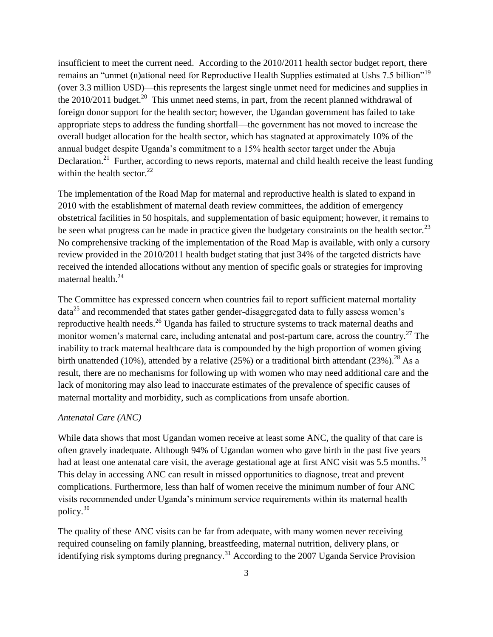insufficient to meet the current need. According to the 2010/2011 health sector budget report, there remains an "unmet (n)ational need for Reproductive Health Supplies estimated at Ushs 7.5 billion"<sup>19</sup> (over 3.3 million USD)—this represents the largest single unmet need for medicines and supplies in the 2010/2011 budget.<sup>20</sup> This unmet need stems, in part, from the recent planned withdrawal of foreign donor support for the health sector; however, the Ugandan government has failed to take appropriate steps to address the funding shortfall—the government has not moved to increase the overall budget allocation for the health sector, which has stagnated at approximately 10% of the annual budget despite Uganda's commitment to a 15% health sector target under the Abuja Declaration.<sup>21</sup> Further, according to news reports, maternal and child health receive the least funding within the health sector. $22$ 

The implementation of the Road Map for maternal and reproductive health is slated to expand in 2010 with the establishment of maternal death review committees, the addition of emergency obstetrical facilities in 50 hospitals, and supplementation of basic equipment; however, it remains to be seen what progress can be made in practice given the budgetary constraints on the health sector.<sup>23</sup> No comprehensive tracking of the implementation of the Road Map is available, with only a cursory review provided in the 2010/2011 health budget stating that just 34% of the targeted districts have received the intended allocations without any mention of specific goals or strategies for improving maternal health.<sup>24</sup>

The Committee has expressed concern when countries fail to report sufficient maternal mortality  $data<sup>25</sup>$  and recommended that states gather gender-disaggregated data to fully assess women's reproductive health needs.<sup>26</sup> Uganda has failed to structure systems to track maternal deaths and monitor women's maternal care, including antenatal and post-partum care, across the country.<sup>27</sup> The inability to track maternal healthcare data is compounded by the high proportion of women giving birth unattended (10%), attended by a relative (25%) or a traditional birth attendant (23%).<sup>28</sup> As a result, there are no mechanisms for following up with women who may need additional care and the lack of monitoring may also lead to inaccurate estimates of the prevalence of specific causes of maternal mortality and morbidity, such as complications from unsafe abortion.

#### *Antenatal Care (ANC)*

While data shows that most Ugandan women receive at least some ANC, the quality of that care is often gravely inadequate. Although 94% of Ugandan women who gave birth in the past five years had at least one antenatal care visit, the average gestational age at first ANC visit was 5.5 months.<sup>29</sup> This delay in accessing ANC can result in missed opportunities to diagnose, treat and prevent complications. Furthermore, less than half of women receive the minimum number of four ANC visits recommended under Uganda's minimum service requirements within its maternal health policy.<sup>30</sup>

The quality of these ANC visits can be far from adequate, with many women never receiving required counseling on family planning, breastfeeding, maternal nutrition, delivery plans, or identifying risk symptoms during pregnancy.<sup>31</sup> According to the 2007 Uganda Service Provision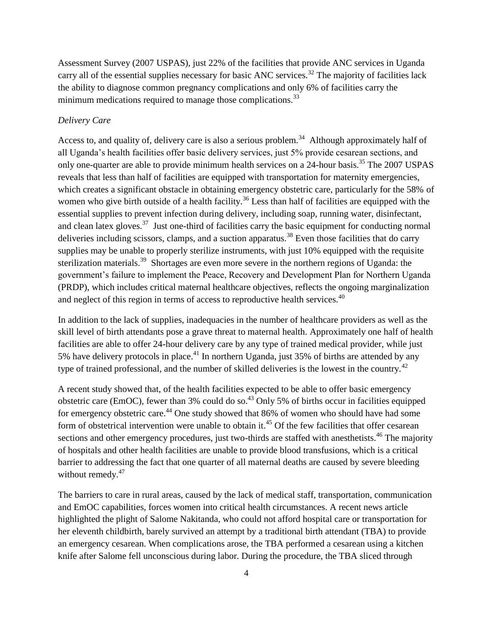Assessment Survey (2007 USPAS), just 22% of the facilities that provide ANC services in Uganda carry all of the essential supplies necessary for basic ANC services.<sup>32</sup> The majority of facilities lack the ability to diagnose common pregnancy complications and only 6% of facilities carry the minimum medications required to manage those complications.<sup>33</sup>

## *Delivery Care*

Access to, and quality of, delivery care is also a serious problem.<sup>34</sup> Although approximately half of all Uganda's health facilities offer basic delivery services, just 5% provide cesarean sections, and only one-quarter are able to provide minimum health services on a 24-hour basis.<sup>35</sup> The 2007 USPAS reveals that less than half of facilities are equipped with transportation for maternity emergencies, which creates a significant obstacle in obtaining emergency obstetric care, particularly for the 58% of women who give birth outside of a health facility.<sup>36</sup> Less than half of facilities are equipped with the essential supplies to prevent infection during delivery, including soap, running water, disinfectant, and clean latex gloves.<sup>37</sup> Just one-third of facilities carry the basic equipment for conducting normal deliveries including scissors, clamps, and a suction apparatus.<sup>38</sup> Even those facilities that do carry supplies may be unable to properly sterilize instruments, with just 10% equipped with the requisite sterilization materials.<sup>39</sup> Shortages are even more severe in the northern regions of Uganda: the government's failure to implement the Peace, Recovery and Development Plan for Northern Uganda (PRDP), which includes critical maternal healthcare objectives, reflects the ongoing marginalization and neglect of this region in terms of access to reproductive health services.<sup>40</sup>

In addition to the lack of supplies, inadequacies in the number of healthcare providers as well as the skill level of birth attendants pose a grave threat to maternal health. Approximately one half of health facilities are able to offer 24-hour delivery care by any type of trained medical provider, while just 5% have delivery protocols in place.<sup>41</sup> In northern Uganda, just 35% of births are attended by any type of trained professional, and the number of skilled deliveries is the lowest in the country.<sup>42</sup>

A recent study showed that, of the health facilities expected to be able to offer basic emergency obstetric care (EmOC), fewer than  $3\%$  could do so.<sup>43</sup> Only  $5\%$  of births occur in facilities equipped for emergency obstetric care.<sup>44</sup> One study showed that 86% of women who should have had some form of obstetrical intervention were unable to obtain it.<sup>45</sup> Of the few facilities that offer cesarean sections and other emergency procedures, just two-thirds are staffed with anesthetists.<sup>46</sup> The majority of hospitals and other health facilities are unable to provide blood transfusions, which is a critical barrier to addressing the fact that one quarter of all maternal deaths are caused by severe bleeding without remedy.<sup>47</sup>

The barriers to care in rural areas, caused by the lack of medical staff, transportation, communication and EmOC capabilities, forces women into critical health circumstances. A recent news article highlighted the plight of Salome Nakitanda, who could not afford hospital care or transportation for her eleventh childbirth, barely survived an attempt by a traditional birth attendant (TBA) to provide an emergency cesarean. When complications arose, the TBA performed a cesarean using a kitchen knife after Salome fell unconscious during labor. During the procedure, the TBA sliced through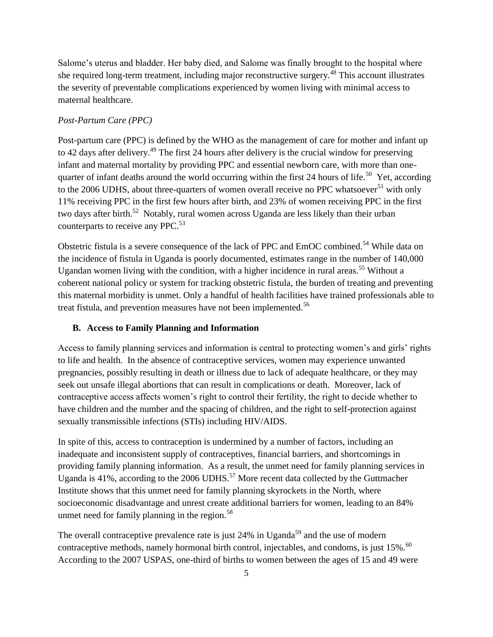Salome's uterus and bladder. Her baby died, and Salome was finally brought to the hospital where she required long-term treatment, including major reconstructive surgery.<sup>48</sup> This account illustrates the severity of preventable complications experienced by women living with minimal access to maternal healthcare.

### *Post-Partum Care (PPC)*

Post-partum care (PPC) is defined by the WHO as the management of care for mother and infant up to 42 days after delivery.<sup>49</sup> The first 24 hours after delivery is the crucial window for preserving infant and maternal mortality by providing PPC and essential newborn care, with more than onequarter of infant deaths around the world occurring within the first 24 hours of life.<sup>50</sup> Yet, according to the 2006 UDHS, about three-quarters of women overall receive no PPC whatsoever<sup>51</sup> with only 11% receiving PPC in the first few hours after birth, and 23% of women receiving PPC in the first two days after birth.<sup>52</sup> Notably, rural women across Uganda are less likely than their urban counterparts to receive any PPC.<sup>53</sup>

Obstetric fistula is a severe consequence of the lack of PPC and EmOC combined.<sup>54</sup> While data on the incidence of fistula in Uganda is poorly documented, estimates range in the number of 140,000 Ugandan women living with the condition, with a higher incidence in rural areas.<sup>55</sup> Without a coherent national policy or system for tracking obstetric fistula, the burden of treating and preventing this maternal morbidity is unmet. Only a handful of health facilities have trained professionals able to treat fistula, and prevention measures have not been implemented.<sup>56</sup>

### **B. Access to Family Planning and Information**

Access to family planning services and information is central to protecting women's and girls' rights to life and health. In the absence of contraceptive services, women may experience unwanted pregnancies, possibly resulting in death or illness due to lack of adequate healthcare, or they may seek out unsafe illegal abortions that can result in complications or death. Moreover, lack of contraceptive access affects women's right to control their fertility, the right to decide whether to have children and the number and the spacing of children, and the right to self-protection against sexually transmissible infections (STIs) including HIV/AIDS.

In spite of this, access to contraception is undermined by a number of factors, including an inadequate and inconsistent supply of contraceptives, financial barriers, and shortcomings in providing family planning information. As a result, the unmet need for family planning services in Uganda is  $41\%$ , according to the 2006 UDHS.<sup>57</sup> More recent data collected by the Guttmacher Institute shows that this unmet need for family planning skyrockets in the North, where socioeconomic disadvantage and unrest create additional barriers for women, leading to an 84% unmet need for family planning in the region. $58$ 

The overall contraceptive prevalence rate is just  $24\%$  in Uganda<sup>59</sup> and the use of modern contraceptive methods, namely hormonal birth control, injectables, and condoms, is just 15%.<sup>60</sup> According to the 2007 USPAS, one-third of births to women between the ages of 15 and 49 were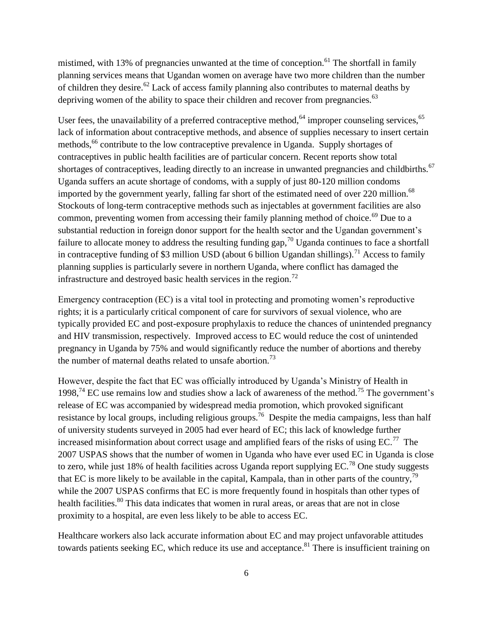mistimed, with 13% of pregnancies unwanted at the time of conception.<sup>61</sup> The shortfall in family planning services means that Ugandan women on average have two more children than the number of children they desire.<sup>62</sup> Lack of access family planning also contributes to maternal deaths by depriving women of the ability to space their children and recover from pregnancies.<sup>63</sup>

User fees, the unavailability of a preferred contraceptive method,<sup>64</sup> improper counseling services, $65$ lack of information about contraceptive methods, and absence of supplies necessary to insert certain methods,<sup>66</sup> contribute to the low contraceptive prevalence in Uganda. Supply shortages of contraceptives in public health facilities are of particular concern. Recent reports show total shortages of contraceptives, leading directly to an increase in unwanted pregnancies and childbirths.<sup>67</sup> Uganda suffers an acute shortage of condoms, with a supply of just 80-120 million condoms imported by the government yearly, falling far short of the estimated need of over 220 million.<sup>68</sup> Stockouts of long-term contraceptive methods such as injectables at government facilities are also common, preventing women from accessing their family planning method of choice.<sup>69</sup> Due to a substantial reduction in foreign donor support for the health sector and the Ugandan government's failure to allocate money to address the resulting funding gap,  $\frac{70}{10}$  Uganda continues to face a shortfall in contraceptive funding of \$3 million USD (about 6 billion Ugandan shillings).<sup>71</sup> Access to family planning supplies is particularly severe in northern Uganda, where conflict has damaged the infrastructure and destroyed basic health services in the region.<sup>72</sup>

Emergency contraception (EC) is a vital tool in protecting and promoting women's reproductive rights; it is a particularly critical component of care for survivors of sexual violence, who are typically provided EC and post-exposure prophylaxis to reduce the chances of unintended pregnancy and HIV transmission, respectively. Improved access to EC would reduce the cost of unintended pregnancy in Uganda by 75% and would significantly reduce the number of abortions and thereby the number of maternal deaths related to unsafe abortion.<sup>73</sup>

However, despite the fact that EC was officially introduced by Uganda's Ministry of Health in 1998,<sup>74</sup> EC use remains low and studies show a lack of awareness of the method.<sup>75</sup> The government's release of EC was accompanied by widespread media promotion, which provoked significant resistance by local groups, including religious groups.<sup>76</sup> Despite the media campaigns, less than half of university students surveyed in 2005 had ever heard of EC; this lack of knowledge further increased misinformation about correct usage and amplified fears of the risks of using  $EC$ .<sup>77</sup> The 2007 USPAS shows that the number of women in Uganda who have ever used EC in Uganda is close to zero, while just 18% of health facilities across Uganda report supplying  $EC^{78}$  One study suggests that EC is more likely to be available in the capital, Kampala, than in other parts of the country,<sup>79</sup> while the 2007 USPAS confirms that EC is more frequently found in hospitals than other types of health facilities.<sup>80</sup> This data indicates that women in rural areas, or areas that are not in close proximity to a hospital, are even less likely to be able to access EC.

Healthcare workers also lack accurate information about EC and may project unfavorable attitudes towards patients seeking EC, which reduce its use and acceptance.<sup>81</sup> There is insufficient training on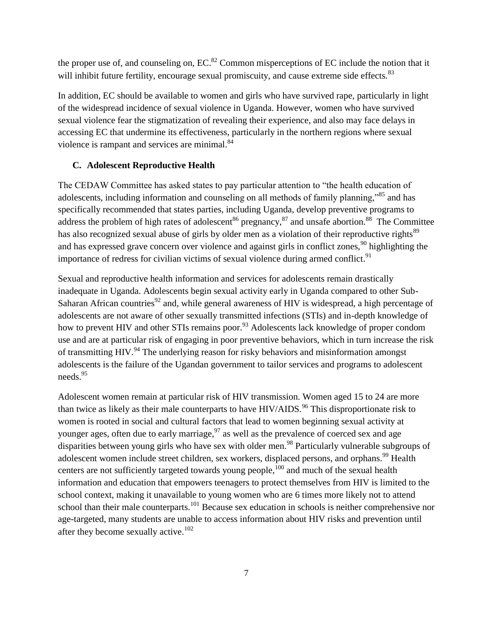the proper use of, and counseling on,  $EC^{82}$  Common misperceptions of  $EC$  include the notion that it will inhibit future fertility, encourage sexual promiscuity, and cause extreme side effects.<sup>83</sup>

In addition, EC should be available to women and girls who have survived rape, particularly in light of the widespread incidence of sexual violence in Uganda. However, women who have survived sexual violence fear the stigmatization of revealing their experience, and also may face delays in accessing EC that undermine its effectiveness, particularly in the northern regions where sexual violence is rampant and services are minimal.<sup>84</sup>

## **C. Adolescent Reproductive Health**

The CEDAW Committee has asked states to pay particular attention to "the health education of adolescents, including information and counseling on all methods of family planning,<sup>85</sup> and has specifically recommended that states parties, including Uganda, develop preventive programs to address the problem of high rates of adolescent<sup>86</sup> pregnancy,<sup>87</sup> and unsafe abortion.<sup>88</sup> The Committee has also recognized sexual abuse of girls by older men as a violation of their reproductive rights<sup>89</sup> and has expressed grave concern over violence and against girls in conflict zones,  $90$  highlighting the importance of redress for civilian victims of sexual violence during armed conflict.<sup>91</sup>

Sexual and reproductive health information and services for adolescents remain drastically inadequate in Uganda. Adolescents begin sexual activity early in Uganda compared to other Sub-Saharan African countries<sup>92</sup> and, while general awareness of HIV is widespread, a high percentage of adolescents are not aware of other sexually transmitted infections (STIs) and in-depth knowledge of how to prevent HIV and other STIs remains poor.<sup>93</sup> Adolescents lack knowledge of proper condom use and are at particular risk of engaging in poor preventive behaviors, which in turn increase the risk of transmitting HIV.<sup>94</sup> The underlying reason for risky behaviors and misinformation amongst adolescents is the failure of the Ugandan government to tailor services and programs to adolescent needs.<sup>95</sup>

Adolescent women remain at particular risk of HIV transmission. Women aged 15 to 24 are more than twice as likely as their male counterparts to have  $HIV/ALDS$ .<sup>96</sup> This disproportionate risk to women is rooted in social and cultural factors that lead to women beginning sexual activity at younger ages, often due to early marriage,  $97$  as well as the prevalence of coerced sex and age disparities between young girls who have sex with older men.<sup>98</sup> Particularly vulnerable subgroups of adolescent women include street children, sex workers, displaced persons, and orphans.<sup>99</sup> Health centers are not sufficiently targeted towards young people, $100$  and much of the sexual health information and education that empowers teenagers to protect themselves from HIV is limited to the school context, making it unavailable to young women who are 6 times more likely not to attend school than their male counterparts.<sup>101</sup> Because sex education in schools is neither comprehensive nor age-targeted, many students are unable to access information about HIV risks and prevention until after they become sexually active.<sup>102</sup>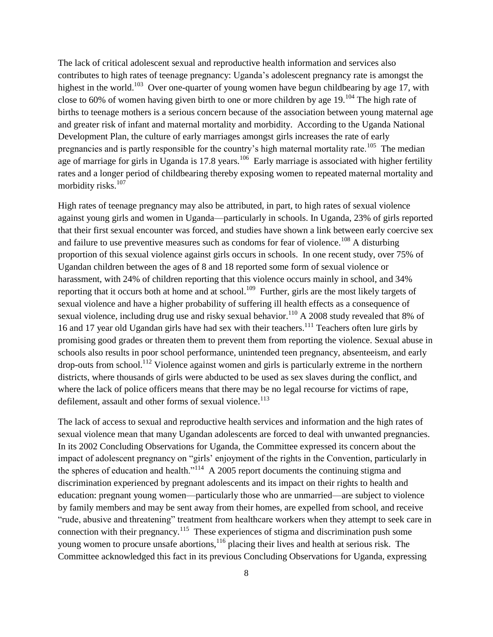The lack of critical adolescent sexual and reproductive health information and services also contributes to high rates of teenage pregnancy: Uganda's adolescent pregnancy rate is amongst the highest in the world.<sup>103</sup> Over one-quarter of young women have begun childbearing by age 17, with close to 60% of women having given birth to one or more children by age  $19$ .<sup>104</sup> The high rate of births to teenage mothers is a serious concern because of the association between young maternal age and greater risk of infant and maternal mortality and morbidity. According to the Uganda National Development Plan, the culture of early marriages amongst girls increases the rate of early pregnancies and is partly responsible for the country's high maternal mortality rate.<sup>105</sup> The median age of marriage for girls in Uganda is 17.8 years.<sup>106</sup> Early marriage is associated with higher fertility rates and a longer period of childbearing thereby exposing women to repeated maternal mortality and morbidity risks. $107$ 

High rates of teenage pregnancy may also be attributed, in part, to high rates of sexual violence against young girls and women in Uganda—particularly in schools. In Uganda, 23% of girls reported that their first sexual encounter was forced, and studies have shown a link between early coercive sex and failure to use preventive measures such as condoms for fear of violence.<sup>108</sup> A disturbing proportion of this sexual violence against girls occurs in schools. In one recent study, over 75% of Ugandan children between the ages of 8 and 18 reported some form of sexual violence or harassment, with 24% of children reporting that this violence occurs mainly in school, and 34% reporting that it occurs both at home and at school.<sup>109</sup> Further, girls are the most likely targets of sexual violence and have a higher probability of suffering ill health effects as a consequence of sexual violence, including drug use and risky sexual behavior.<sup>110</sup> A 2008 study revealed that 8% of 16 and 17 year old Ugandan girls have had sex with their teachers.<sup>111</sup> Teachers often lure girls by promising good grades or threaten them to prevent them from reporting the violence. Sexual abuse in schools also results in poor school performance, unintended teen pregnancy, absenteeism, and early  $\alpha$  drop-outs from school.<sup>112</sup> Violence against women and girls is particularly extreme in the northern districts, where thousands of girls were abducted to be used as sex slaves during the conflict, and where the lack of police officers means that there may be no legal recourse for victims of rape, defilement, assault and other forms of sexual violence.<sup>113</sup>

The lack of access to sexual and reproductive health services and information and the high rates of sexual violence mean that many Ugandan adolescents are forced to deal with unwanted pregnancies. In its 2002 Concluding Observations for Uganda, the Committee expressed its concern about the impact of adolescent pregnancy on "girls' enjoyment of the rights in the Convention, particularly in the spheres of education and health.<sup>114</sup> A 2005 report documents the continuing stigma and discrimination experienced by pregnant adolescents and its impact on their rights to health and education: pregnant young women—particularly those who are unmarried—are subject to violence by family members and may be sent away from their homes, are expelled from school, and receive "rude, abusive and threatening" treatment from healthcare workers when they attempt to seek care in connection with their pregnancy.<sup>115</sup> These experiences of stigma and discrimination push some young women to procure unsafe abortions,<sup>116</sup> placing their lives and health at serious risk. The Committee acknowledged this fact in its previous Concluding Observations for Uganda, expressing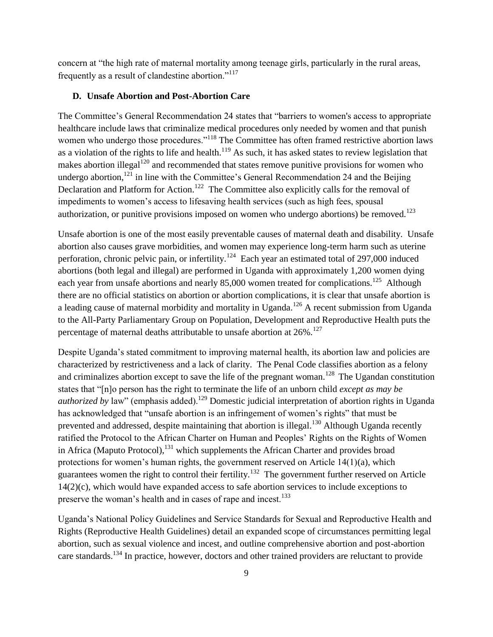concern at "the high rate of maternal mortality among teenage girls, particularly in the rural areas, frequently as a result of clandestine abortion."<sup>117</sup>

### **D. Unsafe Abortion and Post-Abortion Care**

The Committee's General Recommendation 24 states that "barriers to women's access to appropriate healthcare include laws that criminalize medical procedures only needed by women and that punish women who undergo those procedures."<sup>118</sup> The Committee has often framed restrictive abortion laws as a violation of the rights to life and health.<sup>119</sup> As such, it has asked states to review legislation that makes abortion illegal<sup>120</sup> and recommended that states remove punitive provisions for women who undergo abortion,<sup>121</sup> in line with the Committee's General Recommendation 24 and the Beijing Declaration and Platform for Action.<sup>122</sup> The Committee also explicitly calls for the removal of impediments to women's access to lifesaving health services (such as high fees, spousal authorization, or punitive provisions imposed on women who undergo abortions) be removed.<sup>123</sup>

Unsafe abortion is one of the most easily preventable causes of maternal death and disability. Unsafe abortion also causes grave morbidities, and women may experience long-term harm such as uterine perforation, chronic pelvic pain, or infertility.<sup>124</sup> Each year an estimated total of 297,000 induced abortions (both legal and illegal) are performed in Uganda with approximately 1,200 women dying each year from unsafe abortions and nearly 85,000 women treated for complications.<sup>125</sup> Although there are no official statistics on abortion or abortion complications, it is clear that unsafe abortion is a leading cause of maternal morbidity and mortality in Uganda.<sup>126</sup> A recent submission from Uganda to the All-Party Parliamentary Group on Population, Development and Reproductive Health puts the percentage of maternal deaths attributable to unsafe abortion at 26%.<sup>127</sup>

Despite Uganda's stated commitment to improving maternal health, its abortion law and policies are characterized by restrictiveness and a lack of clarity. The Penal Code classifies abortion as a felony and criminalizes abortion except to save the life of the pregnant woman.<sup>128</sup> The Ugandan constitution states that "[n]o person has the right to terminate the life of an unborn child *except as may be authorized by law*" (emphasis added).<sup>129</sup> Domestic judicial interpretation of abortion rights in Uganda has acknowledged that "unsafe abortion is an infringement of women's rights" that must be prevented and addressed, despite maintaining that abortion is illegal.<sup>130</sup> Although Uganda recently ratified the Protocol to the African Charter on Human and Peoples' Rights on the Rights of Women in Africa (Maputo Protocol), <sup>131</sup> which supplements the African Charter and provides broad protections for women's human rights, the government reserved on Article 14(1)(a), which guarantees women the right to control their fertility.<sup>132</sup> The government further reserved on Article 14(2)(c), which would have expanded access to safe abortion services to include exceptions to preserve the woman's health and in cases of rape and incest.<sup>133</sup>

Uganda's National Policy Guidelines and Service Standards for Sexual and Reproductive Health and Rights (Reproductive Health Guidelines) detail an expanded scope of circumstances permitting legal abortion, such as sexual violence and incest, and outline comprehensive abortion and post-abortion care standards.<sup>134</sup> In practice, however, doctors and other trained providers are reluctant to provide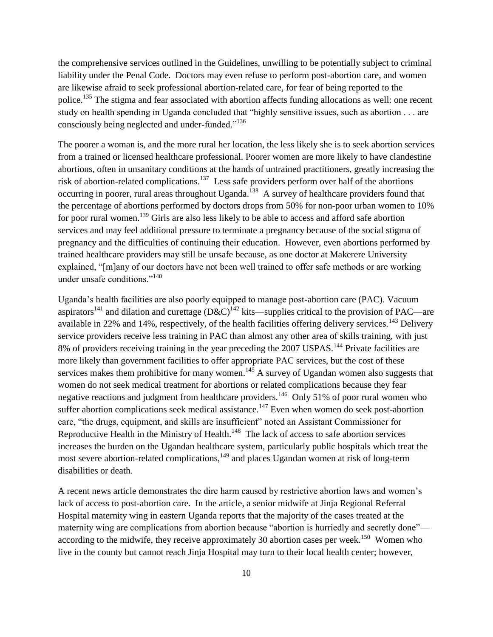the comprehensive services outlined in the Guidelines, unwilling to be potentially subject to criminal liability under the Penal Code. Doctors may even refuse to perform post-abortion care, and women are likewise afraid to seek professional abortion-related care, for fear of being reported to the police.<sup>135</sup> The stigma and fear associated with abortion affects funding allocations as well: one recent study on health spending in Uganda concluded that "highly sensitive issues, such as abortion . . . are consciously being neglected and under-funded."<sup>136</sup>

The poorer a woman is, and the more rural her location, the less likely she is to seek abortion services from a trained or licensed healthcare professional. Poorer women are more likely to have clandestine abortions, often in unsanitary conditions at the hands of untrained practitioners, greatly increasing the risk of abortion-related complications.<sup>137</sup> Less safe providers perform over half of the abortions occurring in poorer, rural areas throughout Uganda.<sup>138</sup> A survey of healthcare providers found that the percentage of abortions performed by doctors drops from 50% for non-poor urban women to 10% for poor rural women.<sup>139</sup> Girls are also less likely to be able to access and afford safe abortion services and may feel additional pressure to terminate a pregnancy because of the social stigma of pregnancy and the difficulties of continuing their education. However, even abortions performed by trained healthcare providers may still be unsafe because, as one doctor at Makerere University explained, "[m]any of our doctors have not been well trained to offer safe methods or are working under unsafe conditions."<sup>140</sup>

Uganda's health facilities are also poorly equipped to manage post-abortion care (PAC). Vacuum aspirators<sup>141</sup> and dilation and curettage  $(D\&C)^{142}$  kits—supplies critical to the provision of PAC—are available in 22% and 14%, respectively, of the health facilities offering delivery services.<sup>143</sup> Delivery service providers receive less training in PAC than almost any other area of skills training, with just 8% of providers receiving training in the year preceding the 2007 USPAS.<sup>144</sup> Private facilities are more likely than government facilities to offer appropriate PAC services, but the cost of these services makes them prohibitive for many women.<sup>145</sup> A survey of Ugandan women also suggests that women do not seek medical treatment for abortions or related complications because they fear negative reactions and judgment from healthcare providers.<sup>146</sup> Only 51% of poor rural women who suffer abortion complications seek medical assistance.<sup>147</sup> Even when women do seek post-abortion care, "the drugs, equipment, and skills are insufficient" noted an Assistant Commissioner for Reproductive Health in the Ministry of Health.<sup>148</sup> The lack of access to safe abortion services increases the burden on the Ugandan healthcare system, particularly public hospitals which treat the most severe abortion-related complications,<sup>149</sup> and places Ugandan women at risk of long-term disabilities or death.

A recent news article demonstrates the dire harm caused by restrictive abortion laws and women's lack of access to post-abortion care. In the article, a senior midwife at Jinja Regional Referral Hospital maternity wing in eastern Uganda reports that the majority of the cases treated at the maternity wing are complications from abortion because "abortion is hurriedly and secretly done" according to the midwife, they receive approximately 30 abortion cases per week.<sup>150</sup> Women who live in the county but cannot reach Jinja Hospital may turn to their local health center; however,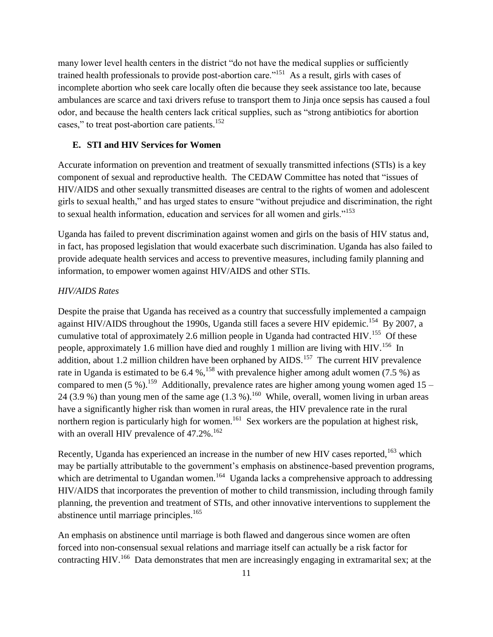many lower level health centers in the district "do not have the medical supplies or sufficiently trained health professionals to provide post-abortion care."<sup>151</sup> As a result, girls with cases of incomplete abortion who seek care locally often die because they seek assistance too late, because ambulances are scarce and taxi drivers refuse to transport them to Jinja once sepsis has caused a foul odor, and because the health centers lack critical supplies, such as "strong antibiotics for abortion cases," to treat post-abortion care patients.<sup>152</sup>

### **E. STI and HIV Services for Women**

Accurate information on prevention and treatment of sexually transmitted infections (STIs) is a key component of sexual and reproductive health. The CEDAW Committee has noted that "issues of HIV/AIDS and other sexually transmitted diseases are central to the rights of women and adolescent girls to sexual health," and has urged states to ensure "without prejudice and discrimination, the right to sexual health information, education and services for all women and girls."<sup>153</sup>

Uganda has failed to prevent discrimination against women and girls on the basis of HIV status and, in fact, has proposed legislation that would exacerbate such discrimination. Uganda has also failed to provide adequate health services and access to preventive measures, including family planning and information, to empower women against HIV/AIDS and other STIs.

## *HIV/AIDS Rates*

Despite the praise that Uganda has received as a country that successfully implemented a campaign against HIV/AIDS throughout the 1990s, Uganda still faces a severe HIV epidemic.<sup>154</sup> By 2007, a cumulative total of approximately 2.6 million people in Uganda had contracted HIV.<sup>155</sup> Of these people, approximately 1.6 million have died and roughly 1 million are living with HIV.<sup>156</sup> In addition, about 1.2 million children have been orphaned by  $AIDS$ .<sup>157</sup> The current HIV prevalence rate in Uganda is estimated to be  $6.4 \%$ , <sup>158</sup> with prevalence higher among adult women (7.5 %) as compared to men  $(5\%)$ .<sup>159</sup> Additionally, prevalence rates are higher among young women aged 15 24 (3.9 %) than young men of the same age  $(1.3 \%)$ .<sup>160</sup> While, overall, women living in urban areas have a significantly higher risk than women in rural areas, the HIV prevalence rate in the rural northern region is particularly high for women.<sup>161</sup> Sex workers are the population at highest risk, with an overall HIV prevalence of  $47.2\%$ .<sup>162</sup>

Recently, Uganda has experienced an increase in the number of new HIV cases reported,<sup>163</sup> which may be partially attributable to the government's emphasis on abstinence-based prevention programs, which are detrimental to Ugandan women.<sup>164</sup> Uganda lacks a comprehensive approach to addressing HIV/AIDS that incorporates the prevention of mother to child transmission, including through family planning, the prevention and treatment of STIs, and other innovative interventions to supplement the abstinence until marriage principles.<sup>165</sup>

An emphasis on abstinence until marriage is both flawed and dangerous since women are often forced into non-consensual sexual relations and marriage itself can actually be a risk factor for contracting HIV.<sup>166</sup> Data demonstrates that men are increasingly engaging in extramarital sex; at the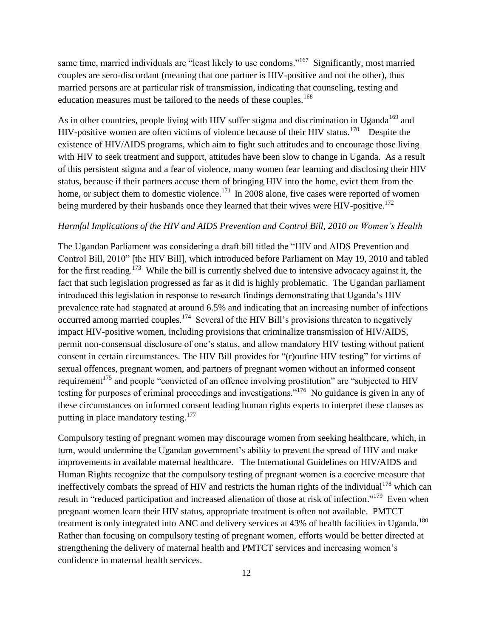same time, married individuals are "least likely to use condoms."<sup>167</sup> Significantly, most married couples are sero-discordant (meaning that one partner is HIV-positive and not the other), thus married persons are at particular risk of transmission, indicating that counseling, testing and education measures must be tailored to the needs of these couples.<sup>168</sup>

As in other countries, people living with HIV suffer stigma and discrimination in Uganda<sup>169</sup> and HIV-positive women are often victims of violence because of their HIV status.<sup>170</sup> Despite the existence of HIV/AIDS programs, which aim to fight such attitudes and to encourage those living with HIV to seek treatment and support, attitudes have been slow to change in Uganda. As a result of this persistent stigma and a fear of violence, many women fear learning and disclosing their HIV status, because if their partners accuse them of bringing HIV into the home, evict them from the home, or subject them to domestic violence.<sup>171</sup> In 2008 alone, five cases were reported of women being murdered by their husbands once they learned that their wives were HIV-positive.<sup>172</sup>

### *Harmful Implications of the HIV and AIDS Prevention and Control Bill, 2010 on Women's Health*

The Ugandan Parliament was considering a draft bill titled the "HIV and AIDS Prevention and Control Bill, 2010" [the HIV Bill], which introduced before Parliament on May 19, 2010 and tabled for the first reading.<sup>173</sup> While the bill is currently shelved due to intensive advocacy against it, the fact that such legislation progressed as far as it did is highly problematic. The Ugandan parliament introduced this legislation in response to research findings demonstrating that Uganda's HIV prevalence rate had stagnated at around 6.5% and indicating that an increasing number of infections occurred among married couples.<sup>174</sup> Several of the HIV Bill's provisions threaten to negatively impact HIV-positive women, including provisions that criminalize transmission of HIV/AIDS, permit non-consensual disclosure of one's status, and allow mandatory HIV testing without patient consent in certain circumstances. The HIV Bill provides for  $\lq$  (r) outine HIV testing" for victims of sexual offences, pregnant women, and partners of pregnant women without an informed consent requirement<sup>175</sup> and people "convicted of an offence involving prostitution" are "subjected to HIV testing for purposes of criminal proceedings and investigations."<sup>176</sup> No guidance is given in any of these circumstances on informed consent leading human rights experts to interpret these clauses as putting in place mandatory testing.<sup>177</sup>

Compulsory testing of pregnant women may discourage women from seeking healthcare, which, in turn, would undermine the Ugandan government's ability to prevent the spread of HIV and make improvements in available maternal healthcare. The International Guidelines on HIV/AIDS and Human Rights recognize that the compulsory testing of pregnant women is a coercive measure that ineffectively combats the spread of HIV and restricts the human rights of the individual<sup>178</sup> which can result in "reduced participation and increased alienation of those at risk of infection."<sup>179</sup> Even when pregnant women learn their HIV status, appropriate treatment is often not available. PMTCT treatment is only integrated into ANC and delivery services at 43% of health facilities in Uganda.<sup>180</sup> Rather than focusing on compulsory testing of pregnant women, efforts would be better directed at strengthening the delivery of maternal health and PMTCT services and increasing women's confidence in maternal health services.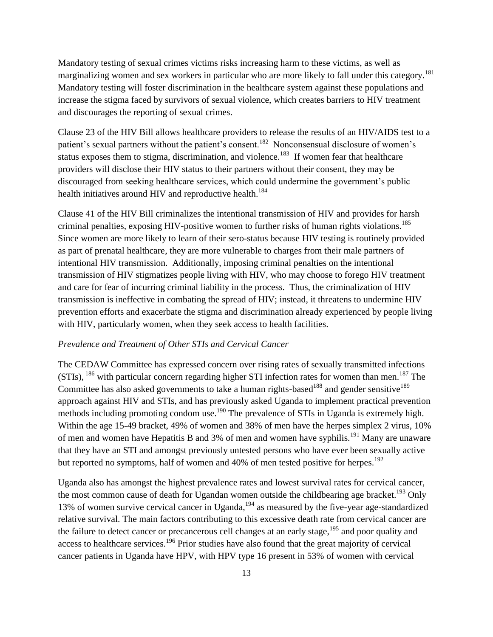Mandatory testing of sexual crimes victims risks increasing harm to these victims, as well as marginalizing women and sex workers in particular who are more likely to fall under this category.<sup>181</sup> Mandatory testing will foster discrimination in the healthcare system against these populations and increase the stigma faced by survivors of sexual violence, which creates barriers to HIV treatment and discourages the reporting of sexual crimes.

Clause 23 of the HIV Bill allows healthcare providers to release the results of an HIV/AIDS test to a patient's sexual partners without the patient's consent.<sup>182</sup> Nonconsensual disclosure of women's status exposes them to stigma, discrimination, and violence.<sup>183</sup> If women fear that healthcare providers will disclose their HIV status to their partners without their consent, they may be discouraged from seeking healthcare services, which could undermine the government's public health initiatives around HIV and reproductive health.<sup>184</sup>

Clause 41 of the HIV Bill criminalizes the intentional transmission of HIV and provides for harsh criminal penalties, exposing HIV-positive women to further risks of human rights violations.<sup>185</sup> Since women are more likely to learn of their sero-status because HIV testing is routinely provided as part of prenatal healthcare, they are more vulnerable to charges from their male partners of intentional HIV transmission. Additionally, imposing criminal penalties on the intentional transmission of HIV stigmatizes people living with HIV, who may choose to forego HIV treatment and care for fear of incurring criminal liability in the process. Thus, the criminalization of HIV transmission is ineffective in combating the spread of HIV; instead, it threatens to undermine HIV prevention efforts and exacerbate the stigma and discrimination already experienced by people living with HIV, particularly women, when they seek access to health facilities.

### *Prevalence and Treatment of Other STIs and Cervical Cancer*

The CEDAW Committee has expressed concern over rising rates of sexually transmitted infections  $(STIs),$  186 with particular concern regarding higher STI infection rates for women than men.<sup>187</sup> The Committee has also asked governments to take a human rights-based<sup>188</sup> and gender sensitive<sup>189</sup> approach against HIV and STIs, and has previously asked Uganda to implement practical prevention methods including promoting condom use.<sup>190</sup> The prevalence of STIs in Uganda is extremely high. Within the age 15-49 bracket, 49% of women and 38% of men have the herpes simplex 2 virus, 10% of men and women have Hepatitis B and 3% of men and women have syphilis.<sup>191</sup> Many are unaware that they have an STI and amongst previously untested persons who have ever been sexually active but reported no symptoms, half of women and 40% of men tested positive for herpes.<sup>192</sup>

Uganda also has amongst the highest prevalence rates and lowest survival rates for cervical cancer, the most common cause of death for Ugandan women outside the childbearing age bracket.<sup>193</sup> Only 13% of women survive cervical cancer in Uganda,<sup>194</sup> as measured by the five-year age-standardized relative survival. The main factors contributing to this excessive death rate from cervical cancer are the failure to detect cancer or precancerous cell changes at an early stage,<sup>195</sup> and poor quality and access to healthcare services.<sup>196</sup> Prior studies have also found that the great majority of cervical cancer patients in Uganda have HPV, with HPV type 16 present in 53% of women with cervical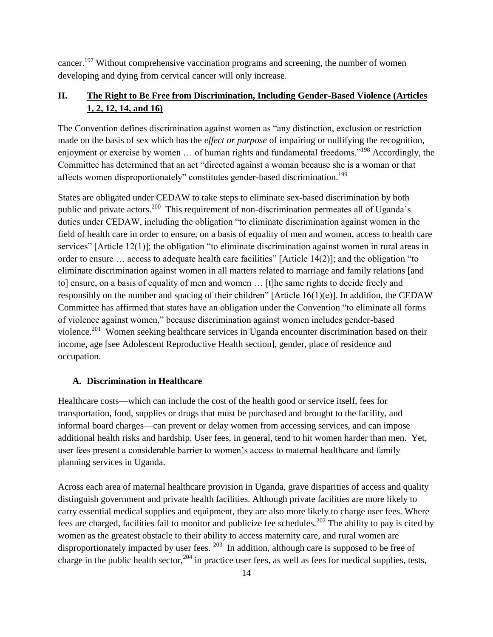cancer.<sup>197</sup> Without comprehensive vaccination programs and screening, the number of women developing and dying from cervical cancer will only increase.

## **II. The Right to Be Free from Discrimination, Including Gender-Based Violence (Articles 1, 2, 12, 14, and 16)**

The Convention defines discrimination against women as "any distinction, exclusion or restriction made on the basis of sex which has the *effect or purpose* of impairing or nullifying the recognition, enjoyment or exercise by women ... of human rights and fundamental freedoms."<sup>198</sup> Accordingly, the Committee has determined that an act "directed against a woman because she is a woman or that affects women disproportionately" constitutes gender-based discrimination.<sup>199</sup>

States are obligated under CEDAW to take steps to eliminate sex-based discrimination by both public and private actors.<sup>200</sup> This requirement of non-discrimination permeates all of Uganda's duties under CEDAW, including the obligation "to eliminate discrimination against women in the field of health care in order to ensure, on a basis of equality of men and women, access to health care services" [Article 12(1)]; the obligation "to eliminate discrimination against women in rural areas in order to ensure  $\ldots$  access to adequate health care facilities" [Article 14(2)]; and the obligation "to eliminate discrimination against women in all matters related to marriage and family relations [and to] ensure, on a basis of equality of men and women … [t]he same rights to decide freely and responsibly on the number and spacing of their children" [Article 16(1)(e)]. In addition, the CEDAW Committee has affirmed that states have an obligation under the Convention "to eliminate all forms of violence against women,‖ because discrimination against women includes gender-based violence.<sup>201</sup> Women seeking healthcare services in Uganda encounter discrimination based on their income, age [see Adolescent Reproductive Health section], gender, place of residence and occupation.

## **A. Discrimination in Healthcare**

Healthcare costs—which can include the cost of the health good or service itself, fees for transportation, food, supplies or drugs that must be purchased and brought to the facility, and informal board charges—can prevent or delay women from accessing services, and can impose additional health risks and hardship. User fees, in general, tend to hit women harder than men. Yet, user fees present a considerable barrier to women's access to maternal healthcare and family planning services in Uganda.

Across each area of maternal healthcare provision in Uganda, grave disparities of access and quality distinguish government and private health facilities. Although private facilities are more likely to carry essential medical supplies and equipment, they are also more likely to charge user fees. Where fees are charged, facilities fail to monitor and publicize fee schedules.<sup>202</sup> The ability to pay is cited by women as the greatest obstacle to their ability to access maternity care, and rural women are disproportionately impacted by user fees.  $^{203}$  In addition, although care is supposed to be free of charge in the public health sector, $204$  in practice user fees, as well as fees for medical supplies, tests,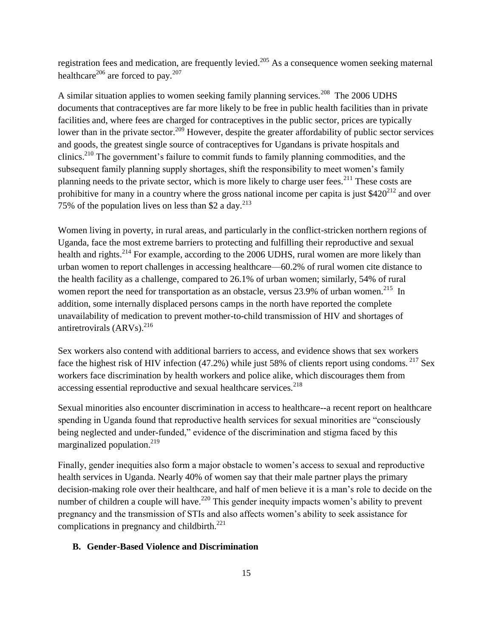registration fees and medication, are frequently levied.<sup>205</sup> As a consequence women seeking maternal healthcare<sup>206</sup> are forced to pay.<sup>207</sup>

A similar situation applies to women seeking family planning services.<sup>208</sup> The 2006 UDHS documents that contraceptives are far more likely to be free in public health facilities than in private facilities and, where fees are charged for contraceptives in the public sector, prices are typically lower than in the private sector.<sup>209</sup> However, despite the greater affordability of public sector services and goods, the greatest single source of contraceptives for Ugandans is private hospitals and clinics.<sup>210</sup> The government's failure to commit funds to family planning commodities, and the subsequent family planning supply shortages, shift the responsibility to meet women's family planning needs to the private sector, which is more likely to charge user fees.<sup>211</sup> These costs are prohibitive for many in a country where the gross national income per capita is just  $$420^{212}$  and over 75% of the population lives on less than \$2 a day.<sup>213</sup>

Women living in poverty, in rural areas, and particularly in the conflict-stricken northern regions of Uganda, face the most extreme barriers to protecting and fulfilling their reproductive and sexual health and rights.<sup>214</sup> For example, according to the 2006 UDHS, rural women are more likely than urban women to report challenges in accessing healthcare—60.2% of rural women cite distance to the health facility as a challenge, compared to 26.1% of urban women; similarly, 54% of rural women report the need for transportation as an obstacle, versus 23.9% of urban women.<sup>215</sup> In addition, some internally displaced persons camps in the north have reported the complete unavailability of medication to prevent mother-to-child transmission of HIV and shortages of antiretrovirals  $(ARVs)^{216}$ 

Sex workers also contend with additional barriers to access, and evidence shows that sex workers face the highest risk of HIV infection (47.2%) while just 58% of clients report using condoms. <sup>217</sup> Sex workers face discrimination by health workers and police alike, which discourages them from accessing essential reproductive and sexual healthcare services.<sup>218</sup>

Sexual minorities also encounter discrimination in access to healthcare--a recent report on healthcare spending in Uganda found that reproductive health services for sexual minorities are "consciously being neglected and under-funded," evidence of the discrimination and stigma faced by this marginalized population. $219$ 

Finally, gender inequities also form a major obstacle to women's access to sexual and reproductive health services in Uganda. Nearly 40% of women say that their male partner plays the primary decision-making role over their healthcare, and half of men believe it is a man's role to decide on the number of children a couple will have.<sup>220</sup> This gender inequity impacts women's ability to prevent pregnancy and the transmission of STIs and also affects women's ability to seek assistance for complications in pregnancy and childbirth.<sup>221</sup>

## **B. Gender-Based Violence and Discrimination**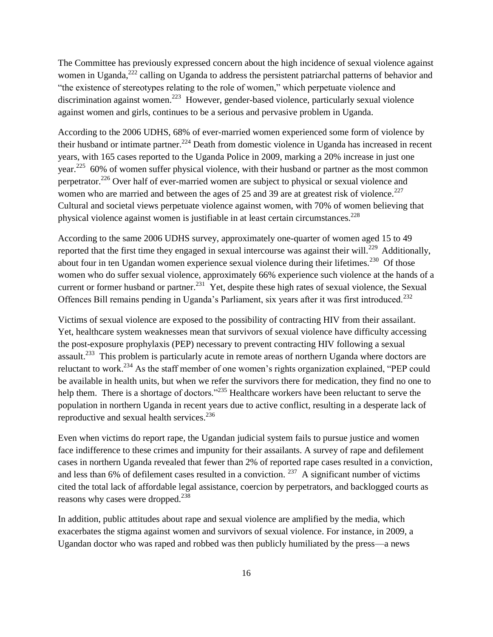The Committee has previously expressed concern about the high incidence of sexual violence against women in Uganda,<sup>222</sup> calling on Uganda to address the persistent patriarchal patterns of behavior and "the existence of stereotypes relating to the role of women," which perpetuate violence and discrimination against women.<sup>223</sup> However, gender-based violence, particularly sexual violence against women and girls, continues to be a serious and pervasive problem in Uganda.

According to the 2006 UDHS, 68% of ever-married women experienced some form of violence by their husband or intimate partner.<sup>224</sup> Death from domestic violence in Uganda has increased in recent years, with 165 cases reported to the Uganda Police in 2009, marking a 20% increase in just one year.<sup>225</sup> 60% of women suffer physical violence, with their husband or partner as the most common perpetrator.<sup>226</sup> Over half of ever-married women are subject to physical or sexual violence and women who are married and between the ages of 25 and 39 are at greatest risk of violence.<sup>227</sup> Cultural and societal views perpetuate violence against women, with 70% of women believing that physical violence against women is justifiable in at least certain circumstances. $2^{28}$ 

According to the same 2006 UDHS survey, approximately one-quarter of women aged 15 to 49 reported that the first time they engaged in sexual intercourse was against their will.<sup>229</sup> Additionally, about four in ten Ugandan women experience sexual violence during their lifetimes.<sup>230</sup> Of those women who do suffer sexual violence, approximately 66% experience such violence at the hands of a current or former husband or partner.<sup>231</sup> Yet, despite these high rates of sexual violence, the Sexual Offences Bill remains pending in Uganda's Parliament, six years after it was first introduced.<sup>232</sup>

Victims of sexual violence are exposed to the possibility of contracting HIV from their assailant. Yet, healthcare system weaknesses mean that survivors of sexual violence have difficulty accessing the post-exposure prophylaxis (PEP) necessary to prevent contracting HIV following a sexual assault.<sup>233</sup> This problem is particularly acute in remote areas of northern Uganda where doctors are reluctant to work.<sup>234</sup> As the staff member of one women's rights organization explained, "PEP could be available in health units, but when we refer the survivors there for medication, they find no one to help them. There is a shortage of doctors."<sup>235</sup> Healthcare workers have been reluctant to serve the population in northern Uganda in recent years due to active conflict, resulting in a desperate lack of reproductive and sexual health services.<sup>236</sup>

Even when victims do report rape, the Ugandan judicial system fails to pursue justice and women face indifference to these crimes and impunity for their assailants. A survey of rape and defilement cases in northern Uganda revealed that fewer than 2% of reported rape cases resulted in a conviction, and less than 6% of defilement cases resulted in a conviction.  $^{237}$  A significant number of victims cited the total lack of affordable legal assistance, coercion by perpetrators, and backlogged courts as reasons why cases were dropped.<sup>238</sup>

In addition, public attitudes about rape and sexual violence are amplified by the media, which exacerbates the stigma against women and survivors of sexual violence. For instance, in 2009, a Ugandan doctor who was raped and robbed was then publicly humiliated by the press—a news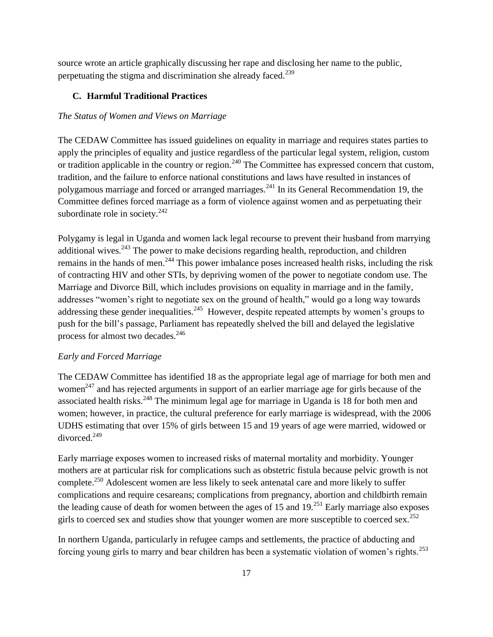source wrote an article graphically discussing her rape and disclosing her name to the public, perpetuating the stigma and discrimination she already faced.<sup>239</sup>

## **C. Harmful Traditional Practices**

### *The Status of Women and Views on Marriage*

The CEDAW Committee has issued guidelines on equality in marriage and requires states parties to apply the principles of equality and justice regardless of the particular legal system, religion, custom or tradition applicable in the country or region.<sup>240</sup> The Committee has expressed concern that custom, tradition, and the failure to enforce national constitutions and laws have resulted in instances of polygamous marriage and forced or arranged marriages.<sup>241</sup> In its General Recommendation 19, the Committee defines forced marriage as a form of violence against women and as perpetuating their subordinate role in society.<sup>242</sup>

Polygamy is legal in Uganda and women lack legal recourse to prevent their husband from marrying additional wives.<sup>243</sup> The power to make decisions regarding health, reproduction, and children remains in the hands of men.<sup>244</sup> This power imbalance poses increased health risks, including the risk of contracting HIV and other STIs, by depriving women of the power to negotiate condom use. The Marriage and Divorce Bill, which includes provisions on equality in marriage and in the family, addresses "women's right to negotiate sex on the ground of health," would go a long way towards addressing these gender inequalities.<sup>245</sup> However, despite repeated attempts by women's groups to push for the bill's passage, Parliament has repeatedly shelved the bill and delayed the legislative process for almost two decades.<sup>246</sup>

### *Early and Forced Marriage*

The CEDAW Committee has identified 18 as the appropriate legal age of marriage for both men and women<sup>247</sup> and has rejected arguments in support of an earlier marriage age for girls because of the associated health risks.<sup>248</sup> The minimum legal age for marriage in Uganda is 18 for both men and women; however, in practice, the cultural preference for early marriage is widespread, with the 2006 UDHS estimating that over 15% of girls between 15 and 19 years of age were married, widowed or divorced.<sup>249</sup>

Early marriage exposes women to increased risks of maternal mortality and morbidity. Younger mothers are at particular risk for complications such as obstetric fistula because pelvic growth is not complete.<sup>250</sup> Adolescent women are less likely to seek antenatal care and more likely to suffer complications and require cesareans; complications from pregnancy, abortion and childbirth remain the leading cause of death for women between the ages of 15 and  $19<sup>.251</sup>$  Early marriage also exposes girls to coerced sex and studies show that younger women are more susceptible to coerced sex.<sup>252</sup>

In northern Uganda, particularly in refugee camps and settlements, the practice of abducting and forcing young girls to marry and bear children has been a systematic violation of women's rights.<sup>253</sup>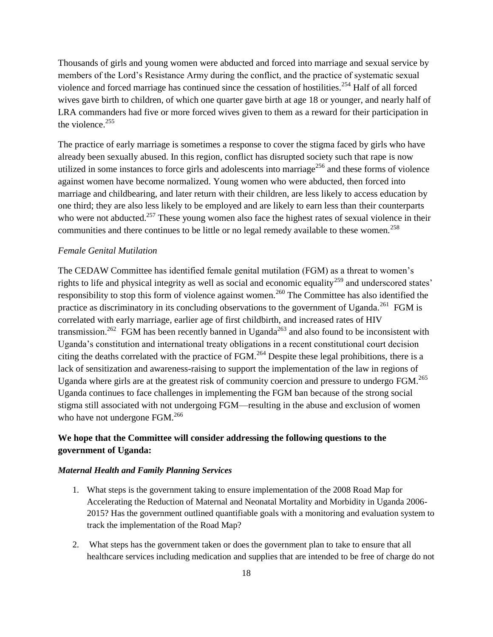Thousands of girls and young women were abducted and forced into marriage and sexual service by members of the Lord's Resistance Army during the conflict, and the practice of systematic sexual violence and forced marriage has continued since the cessation of hostilities.<sup>254</sup> Half of all forced wives gave birth to children, of which one quarter gave birth at age 18 or younger, and nearly half of LRA commanders had five or more forced wives given to them as a reward for their participation in the violence. $255$ 

The practice of early marriage is sometimes a response to cover the stigma faced by girls who have already been sexually abused. In this region, conflict has disrupted society such that rape is now utilized in some instances to force girls and adolescents into marriage<sup>256</sup> and these forms of violence against women have become normalized. Young women who were abducted, then forced into marriage and childbearing, and later return with their children, are less likely to access education by one third; they are also less likely to be employed and are likely to earn less than their counterparts who were not abducted.<sup>257</sup> These young women also face the highest rates of sexual violence in their communities and there continues to be little or no legal remedy available to these women.<sup>258</sup>

### *Female Genital Mutilation*

The CEDAW Committee has identified female genital mutilation (FGM) as a threat to women's rights to life and physical integrity as well as social and economic equality<sup>259</sup> and underscored states' responsibility to stop this form of violence against women.<sup>260</sup> The Committee has also identified the practice as discriminatory in its concluding observations to the government of Uganda.<sup>261</sup> FGM is correlated with early marriage, earlier age of first childbirth, and increased rates of HIV transmission.<sup>262</sup> FGM has been recently banned in Uganda<sup>263</sup> and also found to be inconsistent with Uganda's constitution and international treaty obligations in a recent constitutional court decision citing the deaths correlated with the practice of  $FGM<sup>264</sup>$  Despite these legal prohibitions, there is a lack of sensitization and awareness-raising to support the implementation of the law in regions of Uganda where girls are at the greatest risk of community coercion and pressure to undergo FGM.<sup>265</sup> Uganda continues to face challenges in implementing the FGM ban because of the strong social stigma still associated with not undergoing FGM—resulting in the abuse and exclusion of women who have not undergone FGM.<sup>266</sup>

## **We hope that the Committee will consider addressing the following questions to the government of Uganda:**

### *Maternal Health and Family Planning Services*

- 1. What steps is the government taking to ensure implementation of the 2008 Road Map for Accelerating the Reduction of Maternal and Neonatal Mortality and Morbidity in Uganda 2006- 2015? Has the government outlined quantifiable goals with a monitoring and evaluation system to track the implementation of the Road Map?
- 2. What steps has the government taken or does the government plan to take to ensure that all healthcare services including medication and supplies that are intended to be free of charge do not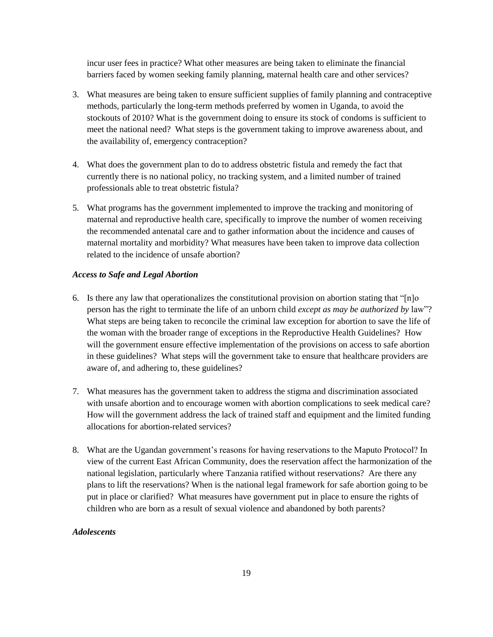incur user fees in practice? What other measures are being taken to eliminate the financial barriers faced by women seeking family planning, maternal health care and other services?

- 3. What measures are being taken to ensure sufficient supplies of family planning and contraceptive methods, particularly the long-term methods preferred by women in Uganda, to avoid the stockouts of 2010? What is the government doing to ensure its stock of condoms is sufficient to meet the national need? What steps is the government taking to improve awareness about, and the availability of, emergency contraception?
- 4. What does the government plan to do to address obstetric fistula and remedy the fact that currently there is no national policy, no tracking system, and a limited number of trained professionals able to treat obstetric fistula?
- 5. What programs has the government implemented to improve the tracking and monitoring of maternal and reproductive health care, specifically to improve the number of women receiving the recommended antenatal care and to gather information about the incidence and causes of maternal mortality and morbidity? What measures have been taken to improve data collection related to the incidence of unsafe abortion?

### *Access to Safe and Legal Abortion*

- 6. Is there any law that operationalizes the constitutional provision on abortion stating that " $[n]$ person has the right to terminate the life of an unborn child *except as may be authorized by* law"? What steps are being taken to reconcile the criminal law exception for abortion to save the life of the woman with the broader range of exceptions in the Reproductive Health Guidelines? How will the government ensure effective implementation of the provisions on access to safe abortion in these guidelines? What steps will the government take to ensure that healthcare providers are aware of, and adhering to, these guidelines?
- 7. What measures has the government taken to address the stigma and discrimination associated with unsafe abortion and to encourage women with abortion complications to seek medical care? How will the government address the lack of trained staff and equipment and the limited funding allocations for abortion-related services?
- 8. What are the Ugandan government's reasons for having reservations to the Maputo Protocol? In view of the current East African Community, does the reservation affect the harmonization of the national legislation, particularly where Tanzania ratified without reservations? Are there any plans to lift the reservations? When is the national legal framework for safe abortion going to be put in place or clarified? What measures have government put in place to ensure the rights of children who are born as a result of sexual violence and abandoned by both parents?

## *Adolescents*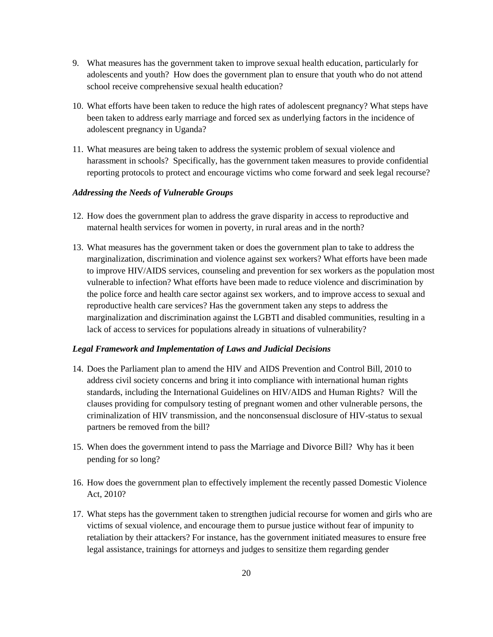- 9. What measures has the government taken to improve sexual health education, particularly for adolescents and youth? How does the government plan to ensure that youth who do not attend school receive comprehensive sexual health education?
- 10. What efforts have been taken to reduce the high rates of adolescent pregnancy? What steps have been taken to address early marriage and forced sex as underlying factors in the incidence of adolescent pregnancy in Uganda?
- 11. What measures are being taken to address the systemic problem of sexual violence and harassment in schools? Specifically, has the government taken measures to provide confidential reporting protocols to protect and encourage victims who come forward and seek legal recourse?

### *Addressing the Needs of Vulnerable Groups*

- 12. How does the government plan to address the grave disparity in access to reproductive and maternal health services for women in poverty, in rural areas and in the north?
- 13. What measures has the government taken or does the government plan to take to address the marginalization, discrimination and violence against sex workers? What efforts have been made to improve HIV/AIDS services, counseling and prevention for sex workers as the population most vulnerable to infection? What efforts have been made to reduce violence and discrimination by the police force and health care sector against sex workers, and to improve access to sexual and reproductive health care services? Has the government taken any steps to address the marginalization and discrimination against the LGBTI and disabled communities, resulting in a lack of access to services for populations already in situations of vulnerability?

### *Legal Framework and Implementation of Laws and Judicial Decisions*

- 14. Does the Parliament plan to amend the HIV and AIDS Prevention and Control Bill, 2010 to address civil society concerns and bring it into compliance with international human rights standards, including the International Guidelines on HIV/AIDS and Human Rights? Will the clauses providing for compulsory testing of pregnant women and other vulnerable persons, the criminalization of HIV transmission, and the nonconsensual disclosure of HIV-status to sexual partners be removed from the bill?
- 15. When does the government intend to pass the Marriage and Divorce Bill? Why has it been pending for so long?
- 16. How does the government plan to effectively implement the recently passed Domestic Violence Act, 2010?
- 17. What steps has the government taken to strengthen judicial recourse for women and girls who are victims of sexual violence, and encourage them to pursue justice without fear of impunity to retaliation by their attackers? For instance, has the government initiated measures to ensure free legal assistance, trainings for attorneys and judges to sensitize them regarding gender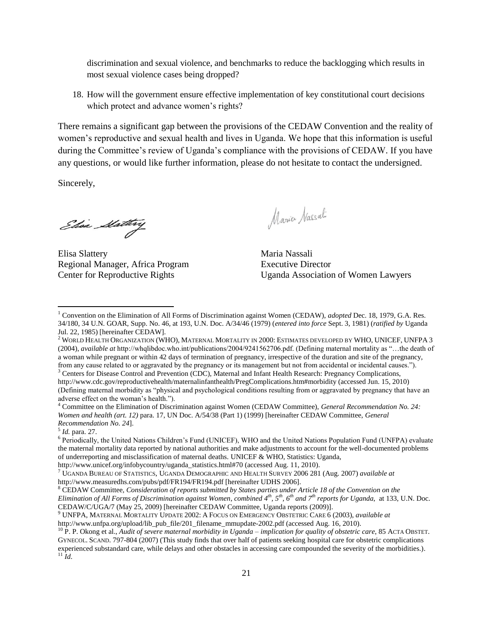discrimination and sexual violence, and benchmarks to reduce the backlogging which results in most sexual violence cases being dropped?

18. How will the government ensure effective implementation of key constitutional court decisions which protect and advance women's rights?

There remains a significant gap between the provisions of the CEDAW Convention and the reality of women's reproductive and sexual health and lives in Uganda. We hope that this information is useful during the Committee's review of Uganda's compliance with the provisions of CEDAW. If you have any questions, or would like further information, please do not hesitate to contact the undersigned.

Sincerely,

 $\overline{\phantom{a}}$ 

Elisa Statting

Elisa Slattery Maria Nassali Regional Manager, Africa Program Executive Director

Maria Nassali

Center for Reproductive Rights Uganda Association of Women Lawyers

5 *Id.* para. 27.

<sup>6</sup> Periodically, the United Nations Children's Fund (UNICEF), WHO and the United Nations Population Fund (UNFPA) evaluate the maternal mortality data reported by national authorities and make adjustments to account for the well-documented problems of underreporting and misclassification of maternal deaths. UNICEF & WHO, Statistics: Uganda,

http://www.unicef.org/infobycountry/uganda\_statistics.html#70 (accessed Aug. 11, 2010).

<sup>7</sup> UGANDA BUREAU OF STATISTICS, UGANDA DEMOGRAPHIC AND HEALTH SURVEY 2006 281 (Aug. 2007) *available at*  http://www.measuredhs.com/pubs/pdf/FR194/FR194.pdf [hereinafter UDHS 2006].

<sup>8</sup> CEDAW Committee, *Consideration of reports submitted by States parties under Article 18 of the Convention on the Elimination of All Forms of Discrimination against Women*, *combined 4th, 5th, 6th and 7th reports for Uganda*, at 133, U.N. Doc. CEDAW/C/UGA/7 (May 25, 2009) [hereinafter CEDAW Committee, Uganda reports (2009)].

<sup>9</sup> UNFPA, MATERNAL MORTALITY UPDATE 2002: A FOCUS ON EMERGENCY OBSTETRIC CARE 6 (2003), *available at*

http://www.unfpa.org/upload/lib\_pub\_file/201\_filename\_mmupdate-2002.pdf (accessed Aug. 16, 2010).

<sup>10</sup> P. P. Okong et al., *Audit of severe maternal morbidity in Uganda – implication for quality of obstetric care*, 85 ACTA OBSTET. GYNECOL. SCAND. 797-804 (2007) (This study finds that over half of patients seeking hospital care for obstetric complications experienced substandard care, while delays and other obstacles in accessing care compounded the severity of the morbidities.).  $11 \dot{1}$ *d*.

<sup>1</sup> Convention on the Elimination of All Forms of Discrimination against Women (CEDAW), *adopted* Dec. 18, 1979, G.A. Res. 34/180, 34 U.N. GOAR, Supp. No. 46, at 193, U.N. Doc. A/34/46 (1979) (*entered into force* Sept. 3, 1981) (*ratified by* Uganda Jul. 22, 1985) [hereinafter CEDAW].

<sup>2</sup> WORLD HEALTH ORGANIZATION (WHO), MATERNAL MORTALITY IN 2000: ESTIMATES DEVELOPED BY WHO, UNICEF, UNFPA 3 (2004), *available at* http://whqlibdoc.who.int/publications/2004/9241562706.pdf. (Defining maternal mortality as ―…the death of a woman while pregnant or within 42 days of termination of pregnancy, irrespective of the duration and site of the pregnancy, from any cause related to or aggravated by the pregnancy or its management but not from accidental or incidental causes.‖).

<sup>&</sup>lt;sup>3</sup> Centers for Disease Control and Prevention (CDC), Maternal and Infant Health Research: Pregnancy Complications, http://www.cdc.gov/reproductivehealth/maternalinfanthealth/PregComplications.htm#morbidity (accessed Jun. 15, 2010) (Defining maternal morbidity as "physical and psychological conditions resulting from or aggravated by pregnancy that have an adverse effect on the woman's health.").

<sup>4</sup> Committee on the Elimination of Discrimination against Women (CEDAW Committee), *General Recommendation No. 24: Women and health (art. 12)* para. 17, UN Doc. A/54/38 (Part 1) (1999) [hereinafter CEDAW Committee, *General Recommendation No. 24*].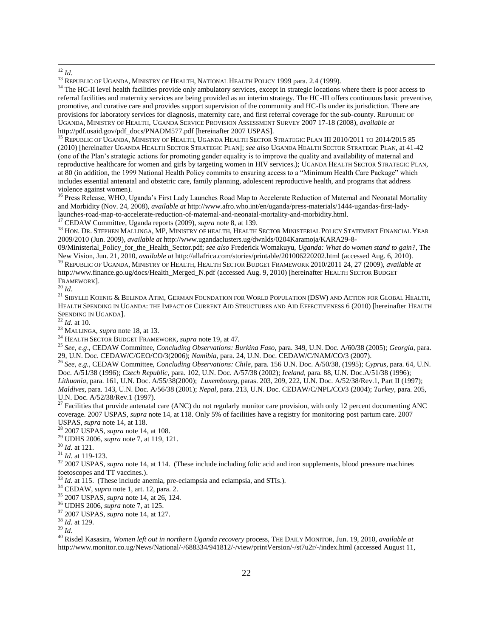<sup>14</sup> The HC-II level health facilities provide only ambulatory services, except in strategic locations where there is poor access to referral facilities and maternity services are being provided as an interim strategy. The HC-III offers continuous basic preventive, promotive, and curative care and provides support supervision of the community and HC-IIs under its jurisdiction. There are provisions for laboratory services for diagnosis, maternity care, and first referral coverage for the sub-county. REPUBLIC OF UGANDA, MINISTRY OF HEALTH, UGANDA SERVICE PROVISION ASSESSMENT SURVEY 2007 17-18 (2008), *available at*  http://pdf.usaid.gov/pdf\_docs/PNADM577.pdf [hereinafter 2007 USPAS].

<sup>15</sup> REPUBLIC OF UGANDA, MINISTRY OF HEALTH, UGANDA HEALTH SECTOR STRATEGIC PLAN III 2010/2011 TO 2014/2015 85 (2010) [hereinafter UGANDA HEALTH SECTOR STRATEGIC PLAN]; *see also* UGANDA HEALTH SECTOR STRATEGIC PLAN, at 41-42 (one of the Plan's strategic actions for promoting gender equality is to improve the quality and availability of maternal and reproductive healthcare for women and girls by targeting women in HIV services.); UGANDA HEALTH SECTOR STRATEGIC PLAN, at 80 (in addition, the 1999 National Health Policy commits to ensuring access to a "Minimum Health Care Package" which includes essential antenatal and obstetric care, family planning, adolescent reproductive health, and programs that address violence against women).

<sup>16</sup> Press Release, WHO, Uganda's First Lady Launches Road Map to Accelerate Reduction of Maternal and Neonatal Mortality and Morbidity (Nov. 24, 2008), *available at* [http://www.afro.who.int/en/uganda/press-materials/1444-ugandas-first-lady](http://www.afro.who.int/en/uganda/press-materials/1444-ugandas-first-lady-launches-road-map-to-accelerate-reduction-of-maternal-and-neonatal-mortality-and-morbidity.html)[launches-road-map-to-accelerate-reduction-of-maternal-and-neonatal-mortality-and-morbidity.html.](http://www.afro.who.int/en/uganda/press-materials/1444-ugandas-first-lady-launches-road-map-to-accelerate-reduction-of-maternal-and-neonatal-mortality-and-morbidity.html) 

<sup>17</sup> CEDAW Committee, Uganda reports (2009), *supra* note 8, at 139.

<sup>18</sup> HON. DR. STEPHEN MALLINGA, MP, MINISTRY OF HEALTH, HEALTH SECTOR MINISTERIAL POLICY STATEMENT FINANCIAL YEAR 2009/2010 (Jun. 2009), *available at* http://www.ugandaclusters.ug/dwnlds/0204Karamoja/KARA29-8-

09/Ministerial\_Policy\_for\_the\_Health\_Sector.pdf; *see also* Frederick Womakuyu, *Uganda: What do women stand to gain?*, The New Vision, Jun. 21, 2010, *available at* http://allafrica.com/stories/printable/201006220202.html (accessed Aug. 6, 2010). <sup>19</sup> REPUBLIC OF UGANDA, MINISTRY OF HEALTH, HEALTH SECTOR BUDGET FRAMEWORK 2010/2011 24, 27 (2009), *available at*  [http://www.finance.go.ug/docs/Health\\_Merged\\_N.pdf](http://www.finance.go.ug/docs/Health_Merged_N.pdf) (accessed Aug. 9, 2010) [hereinafter HEALTH SECTOR BUDGET

FRAMEWORK].

<sup>20</sup> *Id.*

<sup>21</sup> SIBYLLE KOENIG & BELINDA ATIM, GERMAN FOUNDATION FOR WORLD POPULATION (DSW) AND ACTION FOR GLOBAL HEALTH, HEALTH SPENDING IN UGANDA: THE IMPACT OF CURRENT AID STRUCTURES AND AID EFFECTIVENESS 6 (2010) [hereinafter HEALTH SPENDING IN UGANDA].

<sup>22</sup> *Id.* at 10.

<sup>23</sup> MALLINGA, *supra* note 18, at 13.

<sup>24</sup> HEALTH SECTOR BUDGET FRAMEWORK*, supra* note 19, at 47*.* 

<sup>25</sup> *See, e.g*., CEDAW Committee, *Concluding Observations: Burkina Faso,* para. 349, U.N. Doc. A/60/38 (2005); *Georgia*, para. 29, U.N. Doc. CEDAW/C/GEO/CO/3(2006); *Namibia*, para. 24, U.N. Doc. CEDAW/C/NAM/CO/3 (2007).

<sup>26</sup> *See, e.g.*, CEDAW Committee, *Concluding Observations: Chile*, para. 156 U.N. Doc. A/50/38, (1995); *Cyprus*, para. 64, U.N. Doc. A/51/38 (1996); *Czech Republic,* para. 102, U.N. Doc. A/57/38 (2002); *Iceland*, para. 88, U.N. Doc.A/51/38 (1996); *Lithuania*, para. 161, U.N. Doc. A/55/38(2000); *Luxembourg*, paras. 203, 209, 222, U.N. Doc. A/52/38/Rev.1, Part II (1997); *Maldives*, para. 143, U.N. Doc. A/56/38 (2001); *Nepal*, para. 213, U.N. Doc. CEDAW/C/NPL/CO/3 (2004); *Turkey*, para. 205, U.N. Doc. A/52/38/Rev.1 (1997).

 $27$  Facilities that provide antenatal care (ANC) do not regularly monitor care provision, with only 12 percent documenting ANC coverage. 2007 USPAS, *supra* note 14, at 118. Only 5% of facilities have a registry for monitoring post partum care. 2007 USPAS, *supra* note 14, at 118.

<sup>28</sup> 2007 USPAS, *supra* note 14, at 108.

<sup>29</sup> UDHS 2006, *supra* note 7, at 119, 121.

<sup>30</sup> *Id.* at 121.

<sup>31</sup> *Id.* at 119-123.

<sup>32</sup> 2007 USPAS, *supra* note 14, at 114. (These include including folic acid and iron supplements, blood pressure machines foetoscopes and TT vaccines.).

<sup>33</sup> *Id.* at 115. (These include anemia, pre-eclampsia and eclampsia, and STIs.).

<sup>34</sup> CEDAW, *supra* note 1, art. 12, para. 2.

<sup>35</sup> 2007 USPAS, *supra* note 14, at 26, 124.

<sup>36</sup> UDHS 2006, *supra* note 7, at 125.

<sup>37</sup> 2007 USPAS, *supra* note 14, at 127.

<sup>38</sup> *Id.* at 129.

<sup>39</sup> *Id.*

<sup>40</sup> Risdel Kasasira, *Women left out in northern Uganda recovery* process, THE DAILY MONITOR, Jun. 19, 2010, *available at* http://www.monitor.co.ug/News/National/-/688334/941812/-/view/printVersion/-/st7u2r/-/index.html (accessed August 11,

 $\overline{\phantom{a}}$ <sup>12</sup> *Id.*

<sup>&</sup>lt;sup>13</sup> REPUBLIC OF UGANDA, MINISTRY OF HEALTH, NATIONAL HEALTH POLICY 1999 para. 2.4 (1999).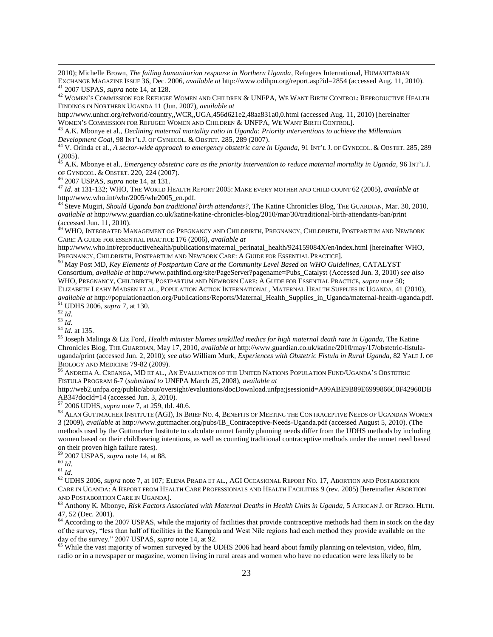2010); Michelle Brown, *The failing humanitarian response in Northern Uganda*, Refugees International, HUMANITARIAN EXCHANGE MAGAZINE ISSUE 36, Dec. 2006, *available at* http://www.odihpn.org/report.asp?id=2854 (accessed Aug. 11, 2010).

<sup>41</sup> 2007 USPAS, *supra* note 14, at 128. <sup>42</sup> WOMEN'S COMMISSION FOR REFUGEE WOMEN AND CHILDREN & UNFPA, WE WANT BIRTH CONTROL: REPRODUCTIVE HEALTH

FINDINGS IN NORTHERN UGANDA 11 (Jun. 2007), *available at* 

http://www.unhcr.org/refworld/country,,WCR,,UGA,456d621e2,48aa831a0,0.html (accessed Aug. 11, 2010) [hereinafter WOMEN'S COMMISSION FOR REFUGEE WOMEN AND CHILDREN & UNFPA, WE WANT BIRTH CONTROL].

<sup>43</sup> A.K. Mbonye et al., *Declining maternal mortality ratio in Uganda: Priority interventions to achieve the Millennium Development Goal*, 98 INT'L J. OF GYNECOL. & OBSTET. 285, 289 (2007).

<sup>44</sup> V. Orinda et al., *A sector-wide approach to emergency obstetric care in Uganda*, 91 INT'L J. OF GYNECOL. & OBSTET. 285, 289 (2005).

<sup>45</sup> A.K. Mbonye et al., *Emergency obstetric care as the priority intervention to reduce maternal mortality in Uganda, 96 INT'L J.* OF GYNECOL. & OBSTET. 220, 224 (2007).

<sup>46</sup> 2007 USPAS, *supra* note 14, at 131.

<sup>47</sup> *Id.* at 131-132; WHO, THE WORLD HEALTH REPORT 2005: MAKE EVERY MOTHER AND CHILD COUNT 62 (2005), *available at*  http://www.who.int/whr/2005/whr2005\_en.pdf*.*

<sup>48</sup> Steve Mugiri, *Should Uganda ban traditional birth attendants?*, The Katine Chronicles Blog, THE GUARDIAN, Mar. 30, 2010, *available at* http://www.guardian.co.uk/katine/katine-chronicles-blog/2010/mar/30/traditional-birth-attendants-ban/print (accessed Jun. 11, 2010).

<sup>49</sup> WHO, INTEGRATED MANAGEMENT OG PREGNANCY AND CHILDBIRTH, PREGNANCY, CHILDBIRTH, POSTPARTUM AND NEWBORN CARE: A GUIDE FOR ESSENTIAL PRACTICE 176 (2006), *available at* 

http://www.who.int/reproductivehealth/publications/maternal\_perinatal\_health/924159084X/en/index.html [hereinafter WHO, PREGNANCY, CHILDBIRTH, POSTPARTUM AND NEWBORN CARE: A GUIDE FOR ESSENTIAL PRACTICE].

<sup>50</sup> May Post MD, *Key Elements of Postpartum Care at the Community Level Based on WHO Guidelines*, CATALYST Consortium, *available at* [http://www.pathfind.org/site/PageServer?pagename=Pubs\\_Catalyst](http://www.pathfind.org/site/PageServer?pagename=Pubs_Catalyst) (Accessed Jun. 3, 2010) *see also* WHO, PREGNANCY, CHILDBIRTH, POSTPARTUM AND NEWBORN CARE: A GUIDE FOR ESSENTIAL PRACTICE, *supra* note 50; ELIZABETH LEAHY MADSEN ET AL., POPULATION ACTION INTERNATIONAL, MATERNAL HEALTH SUPPLIES IN UGANDA, 41 (2010), *available at* http://populationaction.org/Publications/Reports/Maternal\_Health\_Supplies\_in\_Uganda/maternal-health-uganda.pdf. <sup>51</sup> UDHS 2006, *supra* 7, at 130.

<sup>52</sup> *Id*.

 $\overline{\phantom{a}}$ 

<sup>53</sup> *Id.*

 $\frac{1}{4}$ *Id.* at 135.

<sup>55</sup> Joseph Malinga & Liz Ford, *Health minister blames unskilled medics for high maternal death rate in Uganda,* The Katine Chronicles Blog, THE GUARDIAN, May 17, 2010, *available at* http://www.guardian.co.uk/katine/2010/may/17/obstetric-fistulauganda/print (accessed Jun. 2, 2010); *see also* William Murk, *Experiences with Obstetric Fistula in Rural Uganda*, 82 YALE J. OF BIOLOGY AND MEDICINE 79-82 (2009).

<sup>56</sup> ANDREEA A. CREANGA, MD ET AL., AN EVALUATION OF THE UNITED NATIONS POPULATION FUND/UGANDA'S OBSTETRIC FISTULA PROGRAM 6-7 (*submitted to* UNFPA March 25, 2008), *available at* 

http://web2.unfpa.org/public/about/oversight/evaluations/docDownload.unfpa;jsessionid=A99ABE9B89E6999866C0F42960DB AB34?docId=14 (accessed Jun. 3, 2010).

<sup>57</sup> 2006 UDHS, *supra* note 7, at 259, tbl. 40.6.

<sup>58</sup> ALAN GUTTMACHER INSTITUTE (AGI), IN BRIEF NO. 4, BENEFITS OF MEETING THE CONTRACEPTIVE NEEDS OF UGANDAN WOMEN 3 (2009), *available* at http://www.guttmacher.org/pubs/IB\_Contraceptive-Needs-Uganda.pdf (accessed August 5, 2010). (The methods used by the Guttmacher Institute to calculate unmet family planning needs differ from the UDHS methods by including women based on their childbearing intentions, as well as counting traditional contraceptive methods under the unmet need based on their proven high failure rates).

<sup>59</sup> 2007 USPAS, *supra* note 14, at 88.

<sup>60</sup> *Id*.

<sup>61</sup> *Id*.

<sup>62</sup> UDHS 2006, *supra* note 7, at 107; ELENA PRADA ET AL., AGI OCCASIONAL REPORT NO. 17, ABORTION AND POSTABORTION CARE IN UGANDA: A REPORT FROM HEALTH CARE PROFESSIONALS AND HEALTH FACILITIES 9 (rev. 2005) [hereinafter ABORTION AND POSTABORTION CARE IN UGANDA].

<sup>63</sup> Anthony K. Mbonye, *Risk Factors Associated with Maternal Deaths in Health Units in Uganda*, 5 AFRICAN J. OF REPRO. HLTH. 47, 52 (Dec. 2001).

<sup>64</sup> According to the 2007 USPAS, while the majority of facilities that provide contraceptive methods had them in stock on the day of the survey, "less than half of facilities in the Kampala and West Nile regions had each method they provide available on the day of the survey." 2007 USPAS, *supra* note 14, at 92.

<sup>65</sup> While the vast majority of women surveyed by the UDHS 2006 had heard about family planning on television, video, film, radio or in a newspaper or magazine, women living in rural areas and women who have no education were less likely to be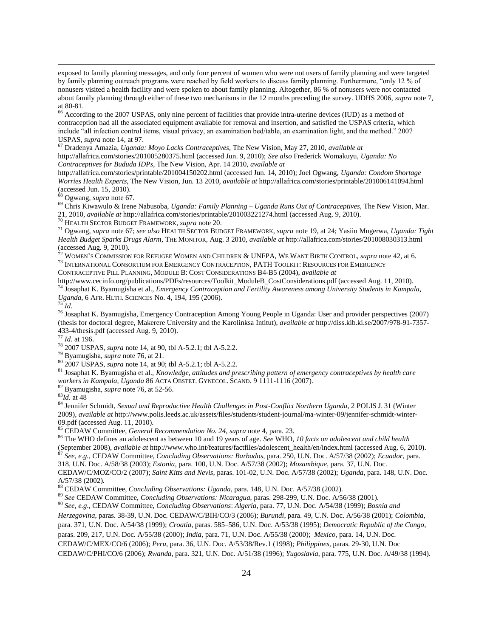exposed to family planning messages, and only four percent of women who were not users of family planning and were targeted by family planning outreach programs were reached by field workers to discuss family planning. Furthermore, "only 12 % of nonusers visited a health facility and were spoken to about family planning. Altogether, 86 % of nonusers were not contacted about family planning through either of these two mechanisms in the 12 months preceding the survey. UDHS 2006, *supra* note 7, at 80-81.

<sup>66</sup> According to the 2007 USPAS, only nine percent of facilities that provide intra-uterine devices (IUD) as a method of contraception had all the associated equipment available for removal and insertion, and satisfied the USPAS criteria, which include "all infection control items, visual privacy, an examination bed/table, an examination light, and the method." 2007 USPAS, *supra* note 14, at 97.

<sup>67</sup> Dradenya Amazia, *Uganda: Moyo Lacks Contraceptives*, The New Vision, May 27, 2010, *available at*

http://allafrica.com/stories/201005280375.html (accessed Jun. 9, 2010); *See also* Frederick Womakuyu, *Uganda: No Contraceptives for Bududa IDPs*, The New Vision, Apr. 14 2010, *available at* 

http://allafrica.com/stories/printable/201004150202.html (accessed Jun. 14, 2010); Joel Ogwang, *Uganda: Condom Shortage Worries Health Experts*, The New Vision, Jun. 13 2010, *available at* http://allafrica.com/stories/printable/201006141094.html (accessed Jun. 15, 2010).

<sup>68</sup> Ogwang, *supra* note 67.

<sup>69</sup> Chris Kiwawulo & Irene Nabusoba, *Uganda: Family Planning – Uganda Runs Out of Contraceptives*, The New Vision, Mar. 21, 2010, *available at* <http://allafrica.com/stories/printable/201003221274.html> (accessed Aug. 9, 2010).

<sup>70</sup> HEALTH SECTOR BUDGET FRAMEWORK, *supra* note 20.

<sup>71</sup> Ogwang, *supra* note 67; *see also* HEALTH SECTOR BUDGET FRAMEWORK, *supra* note 19, at 24; Yasiin Mugerwa, *Uganda: Tight Health Budget Sparks Drugs Alarm*, THE MONITOR, Aug. 3 2010, *available at* http://allafrica.com/stories/201008030313.html (accessed Aug. 9, 2010).

<sup>72</sup> WOMEN'S COMMISSION FOR REFUGEE WOMEN AND CHILDREN & UNFPA, WE WANT BIRTH CONTROL, *supra* note 42, at 6. <sup>73</sup> INTERNATIONAL CONSORTIUM FOR EMERGENCY CONTRACEPTION, PATH TOOLKIT: RESOURCES FOR EMERGENCY

CONTRACEPTIVE PILL PLANNING, MODULE B: COST CONSIDERATIONS B4-B5 (2004), *available at*

http://www.cecinfo.org/publications/PDFs/resources/Toolkit\_ModuleB\_CostConsiderations.pdf (accessed Aug. 11, 2010). <sup>74</sup> Josaphat K. Byamugisha et al., *Emergency Contraception and Fertility Awareness among University Students in Kampala, Uganda*, 6 AFR. HLTH. SCIENCES No. 4, 194, 195 (2006).

 $\overline{75}$  *Id.* 

 $\overline{\phantom{a}}$ 

<sup>76</sup> Josaphat K. Byamugisha, Emergency Contraception Among Young People in Uganda: User and provider perspectives (2007) (thesis for doctoral degree, Makerere University and the Karolinksa Intitut), *available at* http://diss.kib.ki.se/2007/978-91-7357- 433-4/thesis.pdf (accessed Aug. 9, 2010).

<sup>77</sup> *Id.* at 196.

<sup>78</sup> 2007 USPAS, *supra* note 14, at 90, tbl A-5.2.1; tbl A-5.2.2.

<sup>79</sup> Byamugisha, *supra* note 76, at 21.

<sup>80</sup> 2007 USPAS, *supra* note 14, at 90; tbl A-5.2.1; tbl A-5.2.2.

<sup>81</sup> Josaphat K. Byamugisha et al., *Knowledge, attitudes and prescribing pattern of emergency contraceptives by health care workers in Kampala, Uganda* 86 ACTA OBSTET. GYNECOL. SCAND. 9 1111-1116 (2007).

<sup>82</sup> Byamugisha, *supra* note 76, at 52-56.

<sup>83</sup>*Id.* at 48

<sup>84</sup> Jennifer Schmidt, *Sexual and Reproductive Health Challenges in Post-Conflict Northern Uganda*, 2 POLIS J. 31 (Winter 2009), *available at* http://www.polis.leeds.ac.uk/assets/files/students/student-journal/ma-winter-09/jennifer-schmidt-winter-09.pdf (accessed Aug. 11, 2010).

<sup>85</sup> CEDAW Committee, *General Recommendation No. 24*, *supra* note 4, para. 23.

<sup>86</sup> The WHO defines an adolescent as between 10 and 19 years of age. *See* WHO, *10 facts on adolescent and child health* (September 2008), *available at* http://www.who.int/features/factfiles/adolescent\_health/en/index.html (accessed Aug. 6, 2010). <sup>87</sup> *See, e.g.*, CEDAW Committee, *Concluding Observations: Barbados*, para. 250, U.N. Doc. A/57/38 (2002); *Ecuador*, para. 318, U.N. Doc. A/58/38 (2003); *Estonia*, para. 100, U.N. Doc. A/57/38 (2002); *Mozambique*, para. 37, U.N. Doc. CEDAW/C/MOZ/CO/2 (2007); *Saint Kitts and Nevis,* paras. 101-02, U.N. Doc. A/57/38 (2002); *Uganda*, para. 148, U.N. Doc. A/57/38 (2002).

<sup>88</sup> CEDAW Committee, *Concluding Observations: Uganda*, para. 148, U.N. Doc. A/57/38 (2002).

<sup>89</sup> *See* CEDAW Committee, *Concluding Observations: Nicaragua*, paras. 298-299, U.N. Doc. A/56/38 (2001).

<sup>90</sup> *See, e.g.*, CEDAW Committee, *Concluding Observations*: *Algeria*, para. 77, U.N. Doc. A/54/38 (1999); *Bosnia and* 

*Herzegovina*, paras. 38-39, U.N. Doc. CEDAW/C/BIH/CO/3 (2006); *Burundi*, para. 49, U.N. Doc. A/56/38 (2001); *Colombia*,

para. 371, U.N. Doc. A/54/38 (1999); *Croatia*, paras. 585–586, U.N. Doc. A/53/38 (1995); *Democratic Republic of the Congo*,

paras. 209, 217, U.N. Doc. A/55/38 (2000); *India*, para. 71, U.N. Doc. A/55/38 (2000); *Mexico*, para. 14, U.N. Doc.

CEDAW/C/MEX/CO/6 (2006); *Peru*, para. 36, U.N. Doc. A/53/38/Rev.1 (1998); *Philippines*, paras. 29-30, U.N. Doc

CEDAW/C/PHI/CO/6 (2006); *Rwanda*, para. 321, U.N. Doc. A/51/38 (1996); *Yugoslavia*, para. 775, U.N. Doc. A/49/38 (1994).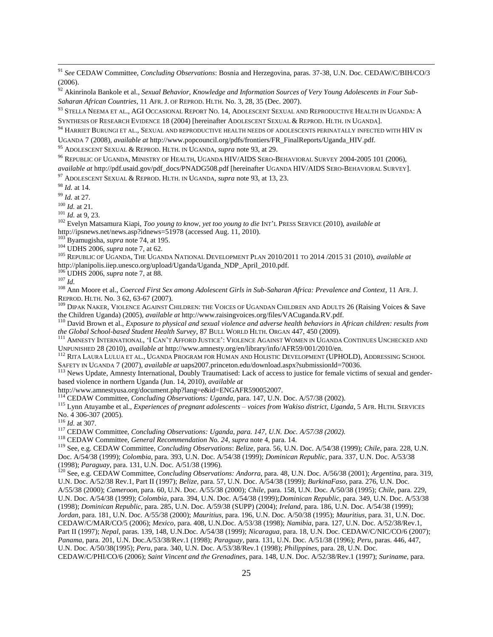<sup>91</sup> *See* CEDAW Committee, *Concluding Observations*: Bosnia and Herzegovina, paras. 37-38, U.N. Doc. CEDAW/C/BIH/CO/3 (2006).

<sup>92</sup> Akinrinola Bankole et al., *Sexual Behavior, Knowledge and Information Sources of Very Young Adolescents in Four Sub-Saharan African Countries*, 11 AFR. J. OF REPROD. HLTH. No. 3, 28, 35 (Dec. 2007).

<sup>93</sup> STELLA NEEMA ET AL., AGI OCCASIONAL REPORT NO. 14, ADOLESCENT SEXUAL AND REPRODUCTIVE HEALTH IN UGANDA: A SYNTHESIS OF RESEARCH EVIDENCE 18 (2004) [hereinafter ADOLESCENT SEXUAL & REPROD. HLTH. IN UGANDA].

<sup>94</sup> HARRIET BURUNGI ET AL., SEXUAL AND REPRODUCTIVE HEALTH NEEDS OF ADOLESCENTS PERINATALLY INFECTED WITH HIV IN

UGANDA 7 (2008), *available at* http://www.popcouncil.org/pdfs/frontiers/FR\_FinalReports/Uganda\_HIV.pdf.

<sup>95</sup> ADOLESCENT SEXUAL & REPROD. HLTH. IN UGANDA, *supra* note 93, at 29.

<sup>96</sup> REPUBLIC OF UGANDA, MINISTRY OF HEALTH, UGANDA HIV/AIDS SERO-BEHAVIORAL SURVEY 2004-2005 101 (2006), *available at* http://pdf.usaid.gov/pdf\_docs/PNADG508.pdf [hereinafter UGANDA HIV/AIDS SERO-BEHAVIORAL SURVEY].

<sup>97</sup> ADOLESCENT SEXUAL & REPROD. HLTH. IN UGANDA, *supra* note 93, at 13, 23.

<sup>98</sup> *Id.* at 14.

 $\overline{\phantom{a}}$ 

<sup>99</sup> *Id.* at 27.

<sup>100</sup> *Id.* at 21.

<sup>101</sup> *Id.* at 9, 23.

<sup>102</sup> Evelyn Matsamura Kiapi, *Too young to know, yet too young to die* INT'L PRESS SERVICE (2010), a*vailable at*  http://ipsnews.net/news.asp?idnews=51978 (accessed Aug. 11, 2010).

<sup>103</sup> Byamugisha, *supra* note 74, at 195.

<sup>104</sup> UDHS 2006, *supra* note 7, at 62.

<sup>105</sup> REPUBLIC OF UGANDA, THE UGANDA NATIONAL DEVELOPMENT PLAN 2010/2011 TO 2014 /2015 31 (2010), *available at*  http://planipolis.iiep.unesco.org/upload/Uganda/Uganda\_NDP\_April\_2010.pdf.

<sup>106</sup> UDHS 2006, *supra* note 7, at 88.

<sup>107</sup> *Id.*

<sup>108</sup> Ann Moore et al., *Coerced First Sex among Adolescent Girls in Sub-Saharan Africa: Prevalence and Context*, 11 AFR. J. REPROD. HLTH. No. 3 62, 63-67 (2007).

<sup>109</sup> DIPAK NAKER, VIOLENCE AGAINST CHILDREN: THE VOICES OF UGANDAN CHILDREN AND ADULTS 26 (Raising Voices & Save the Children Uganda) (2005), *available at* http://www.raisingvoices.org/files/VACuganda.RV.pdf.

<sup>110</sup> David Brown et al., *Exposure to physical and sexual violence and adverse health behaviors in African children: results from the Global School-based Student Health Survey*, 87 BULL WORLD HLTH. ORGAN 447, 450 (2009).

<sup>111</sup> AMNESTY INTERNATIONAL, ‗I CAN'T AFFORD JUSTICE': VIOLENCE AGAINST WOMEN IN UGANDA CONTINUES UNCHECKED AND UNPUNISHED 28 (2010), *available at* http://www.amnesty.org/en/library/info/AFR59/001/2010/en.

<sup>112</sup> RITA LAURA LULUA ET AL., UGANDA PROGRAM FOR HUMAN AND HOLISTIC DEVELOPMENT (UPHOLD), ADDRESSING SCHOOL SAFETY IN UGANDA 7 (2007), *available at* uaps2007.princeton.edu/download.aspx?submissionId=70036.

<sup>113</sup> News Update, Amnesty International, Doubly Traumatised: Lack of access to justice for female victims of sexual and genderbased violence in northern Uganda (Jun. 14, 2010), *available at* 

http://www.amnestyusa.org/document.php?lang=e&id=ENGAFR590052007.

<sup>114</sup> CEDAW Committee, *Concluding Observations: Uganda*, para. 147, U.N. Doc. A/57/38 (2002).

<sup>115</sup> Lynn Atuyambe et al., *Experiences of pregnant adolescents – voices from Wakiso district, Uganda*, 5 AFR. HLTH. SERVICES No. 4 306-307 (2005).

<sup>116</sup> *Id.* at 307.

<sup>117</sup> CEDAW Committee, *Concluding Observations: Uganda*, *para. 147, U.N. Doc. A/57/38 (2002).*

<sup>118</sup> CEDAW Committee, *General Recommendation No. 24*, *supra* note 4, para. 14.

<sup>119</sup> See, e.g. CEDAW Committee, *Concluding Observations*: *Belize*, para. 56, U.N. Doc. A/54/38 (1999); *Chile*, para. 228, U.N. Doc. A/54/38 (1999); *Colombia*, para. 393, U.N. Doc. A/54/38 (1999); *Dominican Republic*, para. 337, U.N. Doc. A/53/38 (1998); *Paraguay*, para. 131, U.N. Doc. A/51/38 (1996).

<sup>120</sup> See, e.g. CEDAW Committee, *Concluding Observations: Andorra*, para. 48, U.N. Doc. A/56/38 (2001); *Argentina*, para. 319, U.N. Doc. A/52/38 Rev.1, Part II (1997); *Belize*, para. 57, U.N. Doc. A/54/38 (1999); *BurkinaFaso*, para. 276, U.N. Doc. A/55/38 (2000); *Cameroon*, para. 60, U.N. Doc. A/55/38 (2000); *Chile*, para. 158, U.N. Doc. A/50/38 (1995); *Chile*, para. 229, U.N. Doc. A/54/38 (1999); *Colombia*, para. 394, U.N. Doc. A/54/38 (1999);*Dominican Republic,* para. 349, U.N. Doc. A/53/38 (1998); *Dominican Republic*, para. 285, U.N. Doc. A/59/38 (SUPP) (2004); *Ireland*, para. 186, U.N. Doc. A/54/38 (1999); *Jordan*, para. 181, U.N. Doc. A/55/38 (2000); *Mauritius*, para. 196, U.N. Doc. A/50/38 (1995); *Mauritius*, para. 31, U.N. Doc. CEDAW/C/MAR/CO/5 (2006); *Mexico*, para. 408, U.N.Doc. A/53/38 (1998); *Namibia*, para. 127, U.N. Doc. A/52/38/Rev.1, Part II (1997); *Nepal*, paras. 139, 148, U.N.Doc. A/54/38 (1999); *Nicaragua*, para. 18, U.N. Doc. CEDAW/C/NIC/CO/6 (2007); *Panama*, para. 201, U.N. Doc.A/53/38/Rev.1 (1998); *Paraguay*, para. 131, U.N. Doc. A/51/38 (1996); *Peru*, paras. 446, 447, U.N. Doc. A/50/38(1995); *Peru*, para. 340, U.N. Doc. A/53/38/Rev.1 (1998); *Philippines*, para. 28, U.N. Doc. CEDAW/C/PHI/CO/6 (2006); *Saint Vincent and the Grenadines*, para. 148, U.N. Doc. A/52/38/Rev.1 (1997); *Suriname*, para.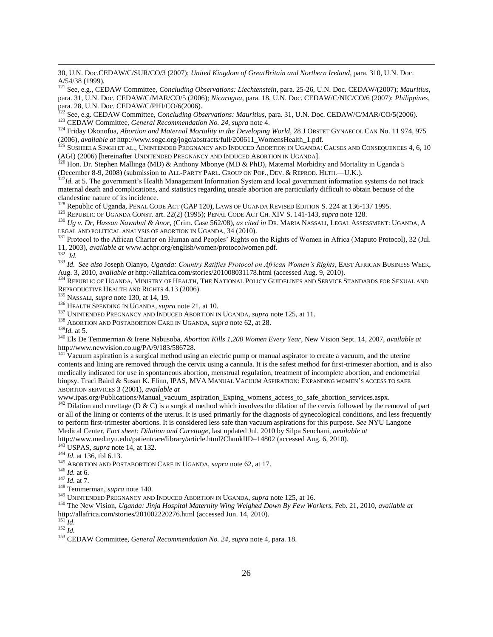30, U.N. Doc.CEDAW/C/SUR/CO/3 (2007); *United Kingdom of GreatBritain and Northern Ireland*, para. 310, U.N. Doc. A/54/38 (1999).

<sup>121</sup> See, e.g., CEDAW Committee, *Concluding Observations: Liechtenstein*, para. 25-26, U.N. Doc. CEDAW/(2007); *Mauritius*, para. 31, U.N. Doc. CEDAW/C/MAR/CO/5 (2006); *Nicaragua*, para. 18, U.N. Doc. CEDAW/C/NIC/CO/6 (2007); *Philippines*, para. 28, U.N. Doc. CEDAW/C/PHI/CO/6(2006).

<sup>122</sup> See, e.g. CEDAW Committee, *Concluding Observations: Mauritius*, para. 31, U.N. Doc. CEDAW/C/MAR/CO/5(2006). <sup>123</sup> CEDAW Committee, *General Recommendation No. 24, supra* note 4.

<sup>124</sup> Friday Okonofua, *Abortion and Maternal Mortality in the Developing World*, 28 J OBSTET GYNAECOL CAN No. 11 974, 975 (2006), *available at* http://www.sogc.org/jogc/abstracts/full/200611\_WomensHealth\_1.pdf.

<sup>125</sup> SUSHEELA SINGH ET AL., UNINTENDED PREGNANCY AND INDUCED ABORTION IN UGANDA: CAUSES AND CONSEQUENCES 4, 6, 10 (AGI) (2006) [hereinafter UNINTENDED PREGNANCY AND INDUCED ABORTION IN UGANDA].

<sup>126</sup> Hon. Dr. Stephen Mallinga (MD) & Anthony Mbonye (MD & PhD), Maternal Morbidity and Mortality in Uganda 5 (December 8-9, 2008) (submission to ALL-PARTY PARL. GROUP ON POP., DEV. & REPROD. HLTH.—U.K.).

<sup>127</sup>*Id.* at 5. The government's Health Management Information System and local government information systems do not track maternal death and complications, and statistics regarding unsafe abortion are particularly difficult to obtain because of the clandestine nature of its incidence.

<sup>128</sup> Republic of Uganda, PENAL CODE ACT (CAP 120), LAWS OF UGANDA REVISED EDITION S. 224 at 136-137 1995.

<sup>129</sup> REPUBLIC OF UGANDA CONST. art. 22(2) (1995); PENAL CODE ACT CH. XIV S. 141-143, *supra* note 128.

<sup>130</sup> *Ug v. Dr, Hassan Nawabul & Anor,* (Crim. Case 562/08), *as cited in* DR. MARIA NASSALI, LEGAL ASSESSMENT: UGANDA, A LEGAL AND POLITICAL ANALYSIS OF ABORTION IN UGANDA, 34 (2010).

<sup>131</sup> Protocol to the African Charter on Human and Peoples' Rights on the Rights of Women in Africa (Maputo Protocol), 32 (Jul. 11, 2003), *available at* www.achpr.org/english/women/protocolwomen.pdf. 132 *Id.*

<sup>133</sup> *Id. See also* Joseph Olanyo, *Uganda: Country Ratifies Protocol on African Women's Rights*, EAST AFRICAN BUSINESS WEEK, Aug. 3, 2010, a*vailable at* http://allafrica.com/stories/201008031178.html (accessed Aug. 9, 2010).

<sup>134</sup> REPUBLIC OF UGANDA, MINISTRY OF HEALTH, THE NATIONAL POLICY GUIDELINES AND SERVICE STANDARDS FOR SEXUAL AND REPRODUCTIVE HEALTH AND RIGHTS 4.13 (2006).

<sup>135</sup> NASSALI, *supra* note 130, at 14, 19.

<sup>136</sup> HEALTH SPENDING IN UGANDA*, supra* note 21, at 10.

<sup>137</sup> UNINTENDED PREGNANCY AND INDUCED ABORTION IN UGANDA, *supra* note 125, at 11.

<sup>138</sup> ABORTION AND POSTABORTION CARE IN UGANDA, *supra* note 62, at 28.

<sup>139</sup>*Id.* at 5.

 $\overline{\phantom{a}}$ 

<sup>140</sup> Els De Temmerman & Irene Nabusoba, *Abortion Kills 1,200 Women Every Year*, New Vision Sept. 14, 2007, *available at* http://www.newvision.co.ug/PA/9/183/586728.

 $141$  Vacuum aspiration is a surgical method using an electric pump or manual aspirator to create a vacuum, and the uterine contents and lining are removed through the cervix using a cannula. It is the safest method for first-trimester abortion, and is also medically indicated for use in spontaneous abortion, menstrual regulation, treatment of incomplete abortion, and endometrial biopsy. Traci Baird & Susan K. Flinn, IPAS, MVA MANUAL VACUUM ASPIRATION: EXPANDING WOMEN'S ACCESS TO SAFE ABORTION SERVICES 3 (2001), *available at* 

www.ipas.org/Publications/Manual\_vacuum\_aspiration\_Exping\_womens\_access\_to\_safe\_abortion\_services.aspx.

<sup>142</sup> Dilation and curettage (D & C) is a surgical method which involves the dilation of the cervix followed by the removal of part or all of the lining or contents of the uterus. It is used primarily for the diagnosis of gynecological conditions, and less frequently to perform first-trimester abortions. It is considered less safe than vacuum aspirations for this purpose. *See* NYU Langone Medical Center, *Fact sheet: Dilation and Curettage*, last updated Jul. 2010 by Silpa Senchani, *available at* 

http://www.med.nyu.edu/patientcare/library/article.html?ChunkIID=14802 (accessed Aug. 6, 2010).

<sup>143</sup> USPAS, *supra* note 14, at 132.

<sup>144</sup> *Id.* at 136, tbl 6.13.

<sup>145</sup> ABORTION AND POSTABORTION CARE IN UGANDA, *supra* note 62, at 17.

<sup>146</sup> *Id.* at 6.

<sup>147</sup> *Id.* at 7.

<sup>148</sup> Temmerman, *supra* note 140.

<sup>149</sup> UNINTENDED PREGNANCY AND INDUCED ABORTION IN UGANDA, *supra* note 125, at 16.

<sup>150</sup> The New Vision, *Uganda: Jinja Hospital Maternity Wing Weighed Down By Few Workers*, Feb. 21, 2010, *available at*  http://allafrica.com/stories/201002220276.html (accessed Jun. 14, 2010).

 $^{151}$ *Id.* 

<sup>152</sup> *Id.*

<sup>153</sup> CEDAW Committee, *General Recommendation No. 24*, *supra* note 4, para. 18.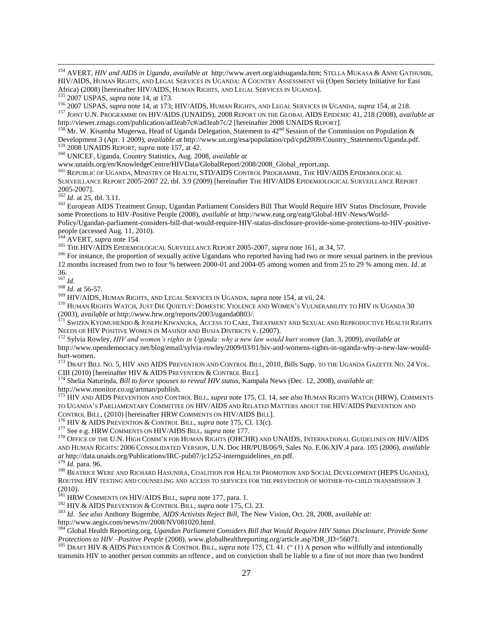<sup>154</sup> AVERT, *HIV and AIDS in Uganda*, *available at* http://www.avert.org/aidsuganda.htm; STELLA MUKASA & ANNE GATHUMBI, HIV/AIDS, HUMAN RIGHTS, AND LEGAL SERVICES IN UGANDA: A COUNTRY ASSESSMENT vii (Open Society Initiative for East Africa) (2008) [hereinafter HIV/AIDS, HUMAN RIGHTS, AND LEGAL SERVICES IN UGANDA].

<sup>155</sup> 2007 USPAS, *supra* note 14, at 173.

<sup>156</sup> 2007 USPAS, *supra* note 14, at 173; HIV/AIDS, HUMAN RIGHTS, AND LEGAL SERVICES IN UGANDA*, supra* 154, at 218.

<sup>157</sup> JOINT U.N. PROGRAMME ON HIV/AIDS (UNAIDS), 2008 REPORT ON THE GLOBAL AIDS EPIDEMIC 41, 218 (2008), *available at*  http://viewer.zmags.com/publication/ad3eab7c#/ad3eab7c/2 [hereinafter 2008 UNAIDS REPORT].

<sup>158</sup> Mr. W. Kisamba Mugerwa, Head of Uganda Delegation, Statement to  $42^{nd}$  Session of the Commission on Population & Development 3 (Apr. 1 2009), *available at* http://www.un.org/esa/population/cpd/cpd2009/Country\_Statements/Uganda.pdf. <sup>159</sup> 2008 UNAIDS REPORT, *supra* note 157*,* at 42.

<sup>160</sup> UNICEF, Uganda, Country Statistics, Aug. 2008, *available at* 

www.unaids.org/en/KnowledgeCentre/HIVData/GlobalReport/2008/2008\_Global\_report.asp.

<sup>161</sup> REPUBLIC OF UGANDA, MINISTRY OF HEALTH, STD/AIDS CONTROL PROGRAMME, THE HIV/AIDS EPIDEMIOLOGICAL SURVEILLANCE REPORT 2005-2007 22, tbl. 3.9 (2009) [hereinafter THE HIV/AIDS EPIDEMIOLOGICAL SURVEILLANCE REPORT 2005-2007].

<sup>162</sup> *Id.* at 25, tbl. 3.11.

<sup>163</sup> European AIDS Treatment Group, Ugandan Parliament Considers Bill That Would Require HIV Status Disclosure, Provide some Protections to HIV-Positive People (2008), *available at* http://www.eatg.org/eatg/Global-HIV-News/World-Policy/Ugandan-parliament-considers-bill-that-would-require-HIV-status-disclosure-provide-some-protections-to-HIV-positivepeople (accessed Aug. 11, 2010).

<sup>164</sup> AVERT, *supra* note 154.

<sup>165</sup> THE HIV/AIDS EPIDEMIOLOGICAL SURVEILLANCE REPORT 2005-2007, *supra* note 161, at 34, 57.

<sup>166</sup> For instance, the proportion of sexually active Ugandans who reported having had two or more sexual partners in the previous 12 months increased from two to four % between 2000-01 and 2004-05 among women and from 25 to 29 % among men. *Id*. at 36.

<sup>167</sup> *Id.*

 $\overline{\phantom{a}}$ 

 $\frac{168}{1}$  *Id.* at 56-57.

<sup>169</sup> HIV/AIDS, HUMAN RIGHTS, AND LEGAL SERVICES IN UGANDA, *supra* note 154, at vii, 24.

<sup>170</sup> HUMAN RIGHTS WATCH, JUST DIE QUIETLY: DOMESTIC VIOLENCE AND WOMEN'S VULNERABILITY TO HIV IN UGANDA 30 (2003), *available at* http://www.hrw.org/reports/2003/uganda0803/.

<sup>171</sup> SWIZEN KYOMUHENDO & JOSEPH KIWANUKA, ACCESS TO CARE, TREATMENT AND SEXUAL AND REPRODUCTIVE HEALTH RIGHTS NEEDS OF HIV POSITIVE WOMEN IN MASINDI AND BUSIA DISTRICTS v. (2007).

<sup>172</sup> Sylvia Rowley, *HIV and women's rights in Uganda: why a new law would hurt women* (Jan. 3, 2009), *available at* http://www.opendemocracy.net/blog/email/sylvia-rowley/2009/03/01/hiv-and-womens-rights-in-uganda-why-a-new-law-wouldhurt-women.

<sup>173</sup> DRAFT BILL NO. 5, HIV AND AIDS PREVENTION AND CONTROL BILL, 2010, Bills Supp. TO THE UGANDA GAZETTE NO. 24 VOL. CIII (2010) [hereinafter HIV & AIDS PREVENTION & CONTROL BILL]*.* 

<sup>174</sup> Shelia Naturinda, *Bill to force spouses to reveal HIV status*, Kampala News (Dec. 12, 2008), *available at*: http://www.monitor.co.ug/artman/publish.

<sup>175</sup> HIV AND AIDS PREVENTION AND CONTROL BILL*, supra* note 175, Cl. 14, *see also* HUMAN RIGHTS WATCH (HRW), COMMENTS TO UGANDA'S PARLIAMENTARY COMMITTEE ON HIV/AIDS AND RELATED MATTERS ABOUT THE HIV/AIDS PREVENTION AND CONTROL BILL, (2010) [hereinafter HRW COMMENTS ON HIV/AIDS BILL].

<sup>176</sup> HIV & AIDS PREVENTION & CONTROL BILL*, supra* note 175, Cl. 13(c).

<sup>177</sup> See e.g. HRW COMMENTS ON HIV/AIDS BILL, *supra* note 177.

<sup>178</sup> OFFICE OF THE U.N. HIGH COMM'R FOR HUMAN RIGHTS (OHCHR) AND UNAIDS, INTERNATIONAL GUIDELINES ON HIV/AIDS AND HUMAN RIGHTS: 2006 CONSOLIDATED VERSION*,* U.N. Doc HR/PUB/06/9, Sales No. E.06.XIV.4 para. 105 (2006), *available at* http://data.unaids.org/Publications/IRC-pub07/jc1252-internguidelines\_en.pdf. <sup>179</sup> *Id.* para. 96.

<sup>180</sup> BEATRICE WERE AND RICHARD HASUNIRA, COALITION FOR HEALTH PROMOTION AND SOCIAL DEVELOPMENT (HEPS UGANDA), ROUTINE HIV TESTING AND COUNSELING AND ACCESS TO SERVICES FOR THE PREVENTION OF MOTHER-TO-CHILD TRANSMISSION 3 (2010).

<sup>181</sup> HRW COMMENTS ON HIV/AIDS BILL*, supra* note 177, para. 1.

<sup>182</sup> HIV & AIDS PREVENTION & CONTROL BILL, *supra* note 175, Cl. 23.

<sup>183</sup> *Id. See also* Anthony Bugembe, *AIDS Activists Reject Bill*, The New Vision, Oct. 28, 2008, a*vailable at:* http://www.aegis.com/news/nv/2008/NV081020.html.

<sup>184</sup> Global Health Reporting.org, *Ugandan Parliament Considers Bill that Would Require HIV Status Disclosure, Provide Some Protections to HIV –Positive People* (2008), www.globalhealthreporting.org/article.asp?DR\_ID=56071.

185 DRAFT HIV & AIDS PREVENTION & CONTROL BILL, *supra* note 175, Cl. 41. ("(1) A person who willfully and intentionally transmits HIV to another person commits an offence , and on conviction shall be liable to a fine of not more than two hundred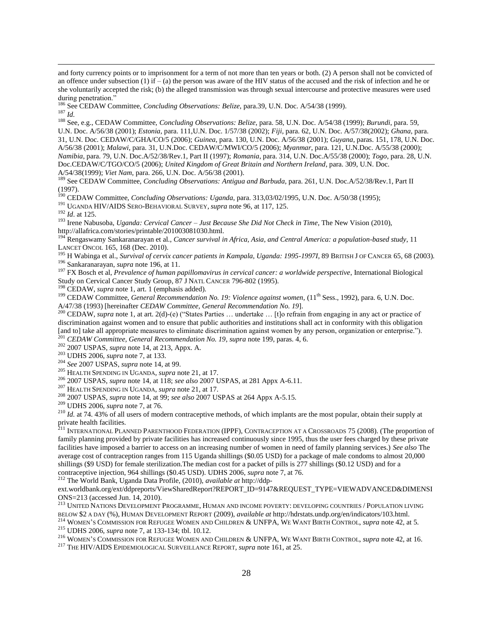and forty currency points or to imprisonment for a term of not more than ten years or both. (2) A person shall not be convicted of an offence under subsection (1) if  $-$  (a) the person was aware of the HIV status of the accused and the risk of infection and he or she voluntarily accepted the risk; (b) the alleged transmission was through sexual intercourse and protective measures were used during penetration."

<sup>186</sup> See CEDAW Committee, *Concluding Observations: Belize*, para.39, U.N. Doc. A/54/38 (1999).  $^{187}$  *Id.* 

<sup>188</sup> See, e.g., CEDAW Committee, *Concluding Observations: Belize*, para. 58, U.N. Doc. A/54/38 (1999); *Burundi*, para. 59, U.N. Doc. A/56/38 (2001); *Estonia*, para. 111,U.N. Doc. 1/57/38 (2002); *Fiji*, para. 62, U.N. Doc. A/57/38(2002); *Ghana*, para. 31, U.N. Doc. CEDAW/C/GHA/CO/5 (2006); *Guinea*, para. 130, U.N. Doc. A/56/38 (2001); *Guyana*, paras. 151, 178, U.N. Doc. A/56/38 (2001); *Malawi*, para. 31, U.N.Doc. CEDAW/C/MWI/CO/5 (2006); *Myanmar*, para. 121, U.N.Doc. A/55/38 (2000); *Namibia*, para. 79, U.N. Doc.A/52/38/Rev.1, Part II (1997); *Romania*, para. 314, U.N. Doc.A/55/38 (2000); *Togo*, para. 28, U.N. Doc.CEDAW/C/TGO/CO/5 (2006); *United Kingdom of Great Britain and Northern Ireland*, para. 309, U.N. Doc. A/54/38(1999); *Viet Nam*, para. 266, U.N. Doc. A/56/38 (2001).

<sup>189</sup> See CEDAW Committee, *Concluding Observations: Antigua and Barbuda*, para. 261, U.N. Doc.A/52/38/Rev.1, Part II  $(1997)$ .

<sup>190</sup> CEDAW Committee, *Concluding Observations: Uganda*, para. 313,03/02/1995, U.N. Doc. A/50/38 (1995);

<sup>191</sup> UGANDA HIV/AIDS SERO-BEHAVIORAL SURVEY, *supra* note 96, at 117, 125.

<sup>192</sup> *Id*. at 125.

 $\overline{\phantom{a}}$ 

<sup>193</sup> Irene Nabusoba, *Uganda: Cervical Cancer – Just Because She Did Not Check in Time*, The New Vision (2010), http://allafrica.com/stories/printable/201003081030.html.

<sup>194</sup> Rengaswamy Sankaranarayan et al., *Cancer survival in Africa, Asia, and Central America: a population-based study*, 11 LANCET ONCOL 165, 168 (Dec. 2010).

<sup>195</sup> H Wabinga et al., *Survival of cervix cancer patients in Kampala, Uganda: 1995-19971, 89 BRITISH J OF CANCER 65, 68 (2003)*. <sup>196</sup> Sankaranarayan, *supra* note 196, at 11.

<sup>197</sup> FX Bosch et al, *Prevalence of human papillomavirus in cervical cancer: a worldwide perspective*, International Biological Study on Cervical Cancer Study Group, 87 J NATL CANCER 796-802 (1995).<br><sup>198</sup> CER ANY

 $\beta$  CEDAW, *supra* note 1, art. 1 (emphasis added).

<sup>199</sup> CEDAW Committee, *General Recommendation No. 19: Violence against women*, (11<sup>th</sup> Sess., 1992), para. 6, U.N. Doc. A/47/38 (1993) [hereinafter *CEDAW Committee, General Recommendation No. 19*].

<sup>200</sup> CEDAW, *supra* note 1, at art. 2(d)-(e) ("States Parties ... undertake ... [t]o refrain from engaging in any act or practice of discrimination against women and to ensure that public authorities and institutions shall act in conformity with this obligation [and to] take all appropriate measures to eliminate discrimination against women by any person, organization or enterprise."). <sup>201</sup> *CEDAW Committee, General Recommendation No. 19*, *supra* note 199, paras. 4, 6.

<sup>202</sup> 2007 USPAS, *supra* note 14, at 213, Appx. A.

<sup>203</sup> UDHS 2006, *supra* note 7, at 133.

<sup>204</sup> *See* 2007 USPAS, *supra* note 14, at 99.

<sup>205</sup> HEALTH SPENDING IN UGANDA*, supra* note 21, at 17.

<sup>206</sup> 2007 USPAS, *supra* note 14, at 118; *see also* 2007 USPAS, at 281 Appx A-6.11.

<sup>207</sup> HEALTH SPENDING IN UGANDA*, supra* note 21, at 17.

<sup>208</sup> 2007 USPAS, *supra* note 14, at 99; *see also* 2007 USPAS at 264 Appx A-5.15.

<sup>209</sup> UDHS 2006, *supra* note 7, at 76.

<sup>210</sup> *Id.* at 74. 43% of all users of modern contraceptive methods, of which implants are the most popular, obtain their supply at private health facilities.

 $^{211}$  International Planned Parenthood Federation (IPPF), Contraception at a Crossroads 75 (2008). (The proportion of family planning provided by private facilities has increased continuously since 1995, thus the user fees charged by these private facilities have imposed a barrier to access on an increasing number of women in need of family planning services.) *See also* The average cost of contraception ranges from 115 Uganda shillings (\$0.05 USD) for a package of male condoms to almost 20,000 shillings (\$9 USD) for female sterilization.The median cost for a packet of pills is 277 shillings (\$0.12 USD) and for a contraceptive injection, 964 shillings (\$0.45 USD). UDHS 2006, *supra* note 7, at 76.

<sup>212</sup> The World Bank, Uganda Data Profile, (2010), *available at* http://ddp-

ext.worldbank.org/ext/ddpreports/ViewSharedReport?REPORT\_ID=9147&REQUEST\_TYPE=VIEWADVANCED&DIMENSI ONS=213 (accessed Jun. 14, 2010).

<sup>213</sup> UNITED NATIONS DEVELOPMENT PROGRAMME, HUMAN AND INCOME POVERTY: DEVELOPING COUNTRIES / POPULATION LIVING BELOW \$2 A DAY (%), HUMAN DEVELOPMENT REPORT (2009), *available at* http://hdrstats.undp.org/en/indicators/103.html.

<sup>214</sup> WOMEN'S COMMISSION FOR REFUGEE WOMEN AND CHILDREN & UNFPA, WE WANT BIRTH CONTROL, *supra* note 42, at 5.

<sup>215</sup> UDHS 2006, *supra* note 7, at 133-134; tbl. 10.12.

<sup>216</sup> WOMEN'S COMMISSION FOR REFUGEE WOMEN AND CHILDREN & UNFPA, WE WANT BIRTH CONTROL, *supra* note 42, at 16.

<sup>217</sup> THE HIV/AIDS EPIDEMIOLOGICAL SURVEILLANCE REPORT*, supra* note 161, at 25.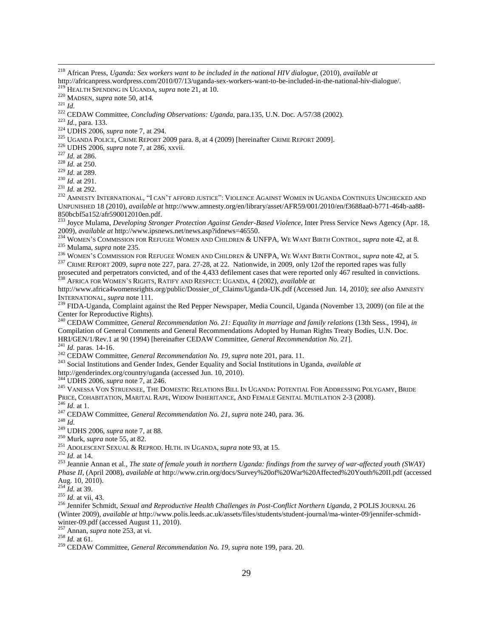$\overline{\phantom{a}}$ 

*Id.,* para. 133.

UDHS 2006, *supra* note 7, at 294.

<sup>225</sup> UGANDA POLICE, CRIME REPORT 2009 para. 8, at 4 (2009) [hereinafter CRIME REPORT 2009].

UDHS 2006, *supra* note 7, at 286, xxvii.

*Id.* at 286.

*Id.* at 250.

*Id.* at 289.

*Id.* at 291.

*Id.* at 292.

<sup>232</sup> AMNESTY INTERNATIONAL, "I CAN'T AFFORD JUSTICE": VIOLENCE AGAINST WOMEN IN UGANDA CONTINUES UNCHECKED AND UNPUNISHED 18 (2010), *available at* http://www.amnesty.org/en/library/asset/AFR59/001/2010/en/f3688aa0-b771-464b-aa88- 850bcbf5a152/afr590012010en.pdf.

<sup>233</sup> Joyce Mulama, *Developing Stronger Protection Against Gender-Based Violence*, Inter Press Service News Agency (Apr. 18, 2009), *available at* http://www.ipsnews.net/news.asp?idnews=46550.

<sup>234</sup> WOMEN'S COMMISSION FOR REFUGEE WOMEN AND CHILDREN & UNFPA, WE WANT BIRTH CONTROL, *supra* note 42, at 8. Mulama, *supra* note 235.

WOMEN'S COMMISSION FOR REFUGEE WOMEN AND CHILDREN & UNFPA, WE WANT BIRTH CONTROL, *supra* note 42, at 5.

 CRIME REPORT 2009, *supra* note 227, para. 27-28, at 22*.* Nationwide, in 2009, only 12of the reported rapes was fully prosecuted and perpetrators convicted, and of the 4,433 defilement cases that were reported only 467 resulted in convictions. AFRICA FOR WOMEN'S RIGHTS, RATIFY AND RESPECT: UGANDA, 4 (2002), *available at* 

http://www.africa4womensrights.org/public/Dossier\_of\_Claims/Uganda-UK.pdf (Accessed Jun. 14, 2010); *see also* AMNESTY INTERNATIONAL, *supra* note 111.

 FIDA-Uganda*,* Complaint against the Red Pepper Newspaper, Media Council, Uganda (November 13, 2009) (on file at the Center for Reproductive Rights).

 CEDAW Committee, *General Recommendation No. 21: Equality in marriage and family relations* (13th Sess., 1994), *in* Compilation of General Comments and General Recommendations Adopted by Human Rights Treaty Bodies, U.N. Doc. HRI/GEN/1/Rev.1 at 90 (1994) [hereinafter CEDAW Committee, *General Recommendation No. 21*].

*Id.* paras. 14-16.

CEDAW Committee, *General Recommendation No. 19, supra* note 201, para. 11.

Social Institutions and Gender Index, Gender Equality and Social Institutions in Uganda, *available at* 

http://genderindex.org/country/uganda (accessed Jun. 10, 2010).

UDHS 2006, *supra* note 7, at 246.

 VANESSA VON STRUENSEE, THE DOMESTIC RELATIONS BILL IN UGANDA: POTENTIAL FOR ADDRESSING POLYGAMY, BRIDE PRICE, COHABITATION, MARITAL RAPE, WIDOW INHERITANCE, AND FEMALE GENITAL MUTILATION 2-3 (2008).

*Id.* at 1.

CEDAW Committee, *General Recommendation No. 21, supra* note 240, para. 36*.* 

*Id.*

UDHS 2006, *supra* note 7, at 88.

Murk, *supra* note 55, at 82.

ADOLESCENT SEXUAL & REPROD. HLTH. IN UGANDA, *supra* note 93, at 15.

*Id.* at 14.

 Jeannie Annan et al., *The state of female youth in northern Uganda: findings from the survey of war-affected youth (SWAY) Phase II*, (April 2008), *available at* http://www.crin.org/docs/Survey%20of%20War%20Affected%20Youth%20II.pdf (accessed Aug. 10, 2010).

*Id.* at 39.

*Id.* at vii, 43.

 Jennifer Schmidt, *Sexual and Reproductive Health Challenges in Post-Conflict Northern Uganda*, 2 POLIS JOURNAL 26 (Winter 2009), *available at* http://www.polis.leeds.ac.uk/assets/files/students/student-journal/ma-winter-09/jennifer-schmidtwinter-09.pdf (accessed August 11, 2010).

Annan, *supra* note 253, at vi.

*Id.* at 61.

CEDAW Committee, *General Recommendation No. 19, supra* note 199, para. 20*.* 

 African Press, *Uganda: Sex workers want to be included in the national HIV dialogue*, (2010), *available at*  http://africanpress.wordpress.com/2010/07/13/uganda-sex-workers-want-to-be-included-in-the-national-hiv-dialogue/.

HEALTH SPENDING IN UGANDA*, supra* note 21, at 10.

MADSEN, *supra* note 50, at14.

*Id.*

CEDAW Committee, *Concluding Observations: Uganda*, para.135, U.N. Doc. A/57/38 (2002).